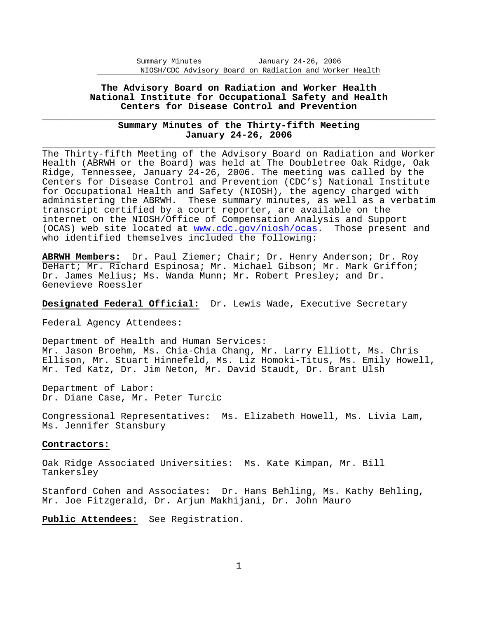## **The Advisory Board on Radiation and Worker Health National Institute for Occupational Safety and Health Centers for Disease Control and Prevention**

# \_\_\_\_\_\_\_\_\_\_\_\_\_\_\_\_\_\_\_\_\_\_\_\_\_\_\_\_\_\_\_\_\_\_\_\_\_\_\_\_\_\_\_\_\_\_\_\_\_\_\_\_\_\_\_\_\_\_\_\_\_\_\_\_\_\_\_\_\_\_ \_\_\_\_\_\_\_\_\_\_\_\_\_\_\_\_\_\_\_\_\_\_\_\_\_\_\_\_\_\_\_\_\_\_\_\_\_\_\_\_\_\_\_\_\_\_\_\_\_\_\_\_\_\_\_\_\_\_\_\_\_\_\_\_\_\_\_\_\_\_ **Summary Minutes of the Thirty-fifth Meeting January 24-26, 2006**

The Thirty-fifth Meeting of the Advisory Board on Radiation and Worker Health (ABRWH or the Board) was held at The Doubletree Oak Ridge, Oak Ridge, Tennessee, January 24-26, 2006. The meeting was called by the Centers for Disease Control and Prevention (CDC's) National Institute for Occupational Health and Safety (NIOSH), the agency charged with administering the ABRWH. These summary minutes, as well as a verbatim transcript certified by a court reporter, are available on the internet on the NIOSH/Office of Compensation Analysis and Support (OCAS) web site located at www.cdc.gov/niosh/ocas. Those present and who identified themselves included the following:

**ABRWH Members:** Dr. Paul Ziemer; Chair; Dr. Henry Anderson; Dr. Roy DeHart; Mr. Richard Espinosa; Mr. Michael Gibson; Mr. Mark Griffon; Dr. James Melius; Ms. Wanda Munn; Mr. Robert Presley; and Dr. Genevieve Roessler

**Designated Federal Official:** Dr. Lewis Wade, Executive Secretary

Federal Agency Attendees:

Department of Health and Human Services: Mr. Jason Broehm, Ms. Chia-Chia Chang, Mr. Larry Elliott, Ms. Chris Ellison, Mr. Stuart Hinnefeld, Ms. Liz Homoki-Titus, Ms. Emily Howell, Mr. Ted Katz, Dr. Jim Neton, Mr. David Staudt, Dr. Brant Ulsh

Department of Labor: Dr. Diane Case, Mr. Peter Turcic

Congressional Representatives: Ms. Elizabeth Howell, Ms. Livia Lam, Ms. Jennifer Stansbury

#### **Contractors:**

Oak Ridge Associated Universities: Ms. Kate Kimpan, Mr. Bill Tankersley

Stanford Cohen and Associates: Dr. Hans Behling, Ms. Kathy Behling, Mr. Joe Fitzgerald, Dr. Arjun Makhijani, Dr. John Mauro

**Public Attendees:** See Registration.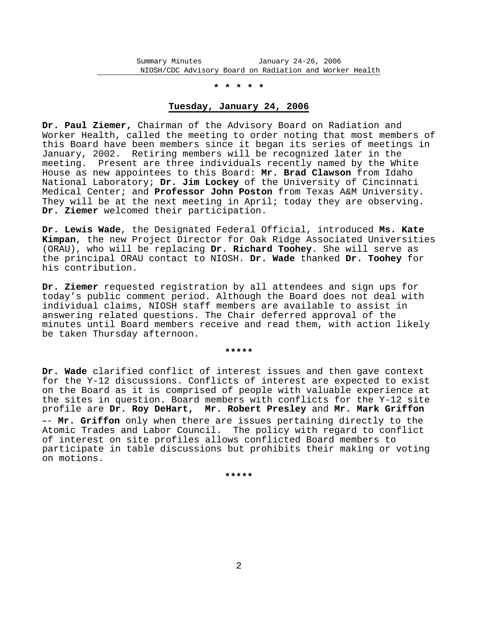### **\* \* \* \* \***

## **Tuesday, January 24, 2006**

**Dr. Paul Ziemer,** Chairman of the Advisory Board on Radiation and Worker Health, called the meeting to order noting that most members of this Board have been members since it began its series of meetings in January, 2002. Retiring members will be recognized later in the meeting. Present are three individuals recently named by the White House as new appointees to this Board: **Mr. Brad Clawson** from Idaho National Laboratory; **Dr. Jim Lockey** of the University of Cincinnati Medical Center; and **Professor John Poston** from Texas A&M University. They will be at the next meeting in April; today they are observing. **Dr. Ziemer** welcomed their participation.

**Dr. Lewis Wade**, the Designated Federal Official, introduced **Ms. Kate Kimpan**, the new Project Director for Oak Ridge Associated Universities (ORAU), who will be replacing **Dr. Richard Toohey**. She will serve as the principal ORAU contact to NIOSH. **Dr. Wade** thanked **Dr. Toohey** for his contribution.

**Dr. Ziemer** requested registration by all attendees and sign ups for today's public comment period. Although the Board does not deal with individual claims, NIOSH staff members are available to assist in answering related questions. The Chair deferred approval of the minutes until Board members receive and read them, with action likely be taken Thursday afternoon.

#### **\*\*\*\*\***

**Dr. Wade** clarified conflict of interest issues and then gave context for the Y-12 discussions. Conflicts of interest are expected to exist on the Board as it is comprised of people with valuable experience at the sites in question. Board members with conflicts for the Y-12 site profile are **Dr. Roy DeHart, Mr. Robert Presley** and **Mr. Mark Griffon** -- Mr. Griffon only when there are issues pertaining directly to the Atomic Trades and Labor Council. The policy with regard to conflict of interest on site profiles allows conflicted Board members to participate in table discussions but prohibits their making or voting on motions.

**\*\*\*\*\***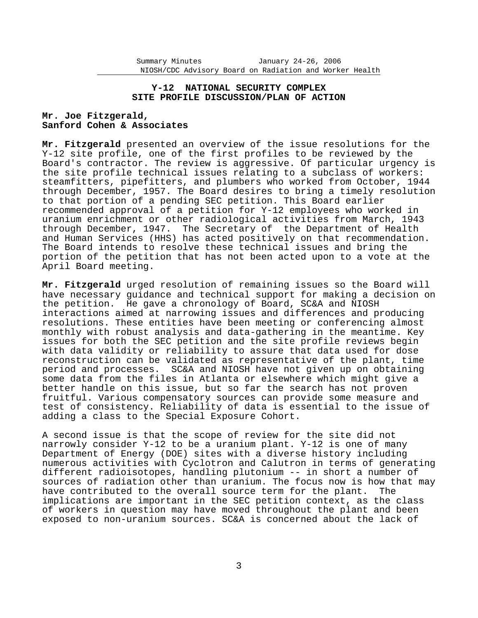## **Y-12 NATIONAL SECURITY COMPLEX SITE PROFILE DISCUSSION/PLAN OF ACTION**

# **Mr. Joe Fitzgerald, Sanford Cohen & Associates**

**Mr. Fitzgerald** presented an overview of the issue resolutions for the Y-12 site profile, one of the first profiles to be reviewed by the Board's contractor. The review is aggressive. Of particular urgency is the site profile technical issues relating to a subclass of workers: steamfitters, pipefitters, and plumbers who worked from October, 1944 through December, 1957. The Board desires to bring a timely resolution to that portion of a pending SEC petition. This Board earlier recommended approval of a petition for Y-12 employees who worked in uranium enrichment or other radiological activities from March, 1943 through December, 1947. The Secretary of the Department of Health and Human Services (HHS) has acted positively on that recommendation. The Board intends to resolve these technical issues and bring the portion of the petition that has not been acted upon to a vote at the April Board meeting.

**Mr. Fitzgerald** urged resolution of remaining issues so the Board will have necessary guidance and technical support for making a decision on the petition. He gave a chronology of Board, SC&A and NIOSH interactions aimed at narrowing issues and differences and producing resolutions. These entities have been meeting or conferencing almost monthly with robust analysis and data-gathering in the meantime. Key issues for both the SEC petition and the site profile reviews begin with data validity or reliability to assure that data used for dose reconstruction can be validated as representative of the plant, time period and processes. SC&A and NIOSH have not given up on obtaining some data from the files in Atlanta or elsewhere which might give a better handle on this issue, but so far the search has not proven fruitful. Various compensatory sources can provide some measure and test of consistency. Reliability of data is essential to the issue of adding a class to the Special Exposure Cohort.

A second issue is that the scope of review for the site did not narrowly consider Y-12 to be a uranium plant. Y-12 is one of many Department of Energy (DOE) sites with a diverse history including numerous activities with Cyclotron and Calutron in terms of generating different radioisotopes, handling plutonium -- in short a number of sources of radiation other than uranium. The focus now is how that may have contributed to the overall source term for the plant. The implications are important in the SEC petition context, as the class of workers in question may have moved throughout the plant and been exposed to non-uranium sources. SC&A is concerned about the lack of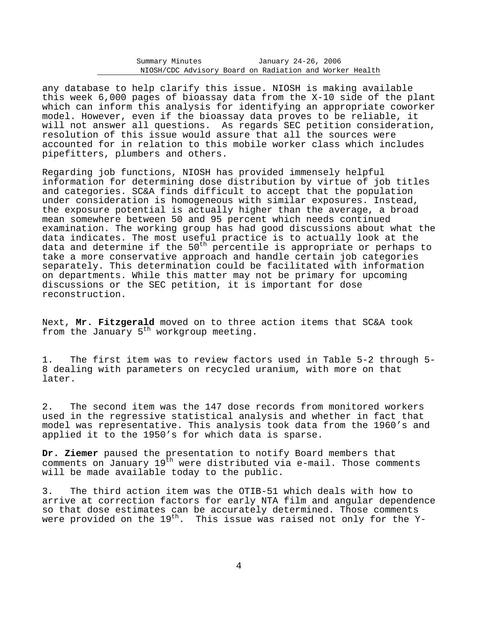any database to help clarify this issue. NIOSH is making available this week 6,000 pages of bioassay data from the X-10 side of the plant which can inform this analysis for identifying an appropriate coworker model. However, even if the bioassay data proves to be reliable, it will not answer all questions. As regards SEC petition consideration, resolution of this issue would assure that all the sources were accounted for in relation to this mobile worker class which includes pipefitters, plumbers and others.

Regarding job functions, NIOSH has provided immensely helpful information for determining dose distribution by virtue of job titles and categories. SC&A finds difficult to accept that the population under consideration is homogeneous with similar exposures. Instead, the exposure potential is actually higher than the average, a broad mean somewhere between 50 and 95 percent which needs continued examination. The working group has had good discussions about what the data indicates. The most useful practice is to actually look at the data and determine if the  $50<sup>th</sup>$  percentile is appropriate or perhaps to take a more conservative approach and handle certain job categories separately. This determination could be facilitated with information on departments. While this matter may not be primary for upcoming discussions or the SEC petition, it is important for dose reconstruction.

Next, **Mr. Fitzgerald** moved on to three action items that SC&A took from the January  $5<sup>th</sup>$  workgroup meeting.

1. The first item was to review factors used in Table 5-2 through 5 8 dealing with parameters on recycled uranium, with more on that later.

2. The second item was the 147 dose records from monitored workers used in the regressive statistical analysis and whether in fact that model was representative. This analysis took data from the 1960's and applied it to the 1950's for which data is sparse.

**Dr. Ziemer** paused the presentation to notify Board members that comments on January  $19<sup>th</sup>$  were distributed via e-mail. Those comments will be made available today to the public.

3. The third action item was the OTIB-51 which deals with how to arrive at correction factors for early NTA film and angular dependence so that dose estimates can be accurately determined. Those comments were provided on the 19<sup>th</sup>. This issue was raised not only for the Y-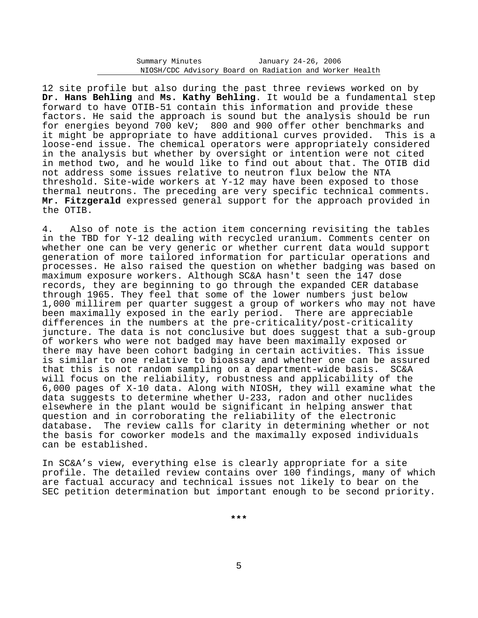12 site profile but also during the past three reviews worked on by **Dr. Hans Behling** and **Ms. Kathy Behling**. It would be a fundamental step forward to have OTIB-51 contain this information and provide these factors. He said the approach is sound but the analysis should be run for energies beyond 700 keV; 800 and 900 offer other benchmarks and it might be appropriate to have additional curves provided. This is a loose-end issue. The chemical operators were appropriately considered in the analysis but whether by oversight or intention were not cited in method two, and he would like to find out about that. The OTIB did not address some issues relative to neutron flux below the NTA threshold. Site-wide workers at Y-12 may have been exposed to those thermal neutrons. The preceding are very specific technical comments. **Mr. Fitzgerald** expressed general support for the approach provided in the OTIB.

4. Also of note is the action item concerning revisiting the tables in the TBD for Y-12 dealing with recycled uranium. Comments center on whether one can be very generic or whether current data would support generation of more tailored information for particular operations and processes. He also raised the question on whether badging was based on maximum exposure workers. Although SC&A hasn't seen the 147 dose records, they are beginning to go through the expanded CER database through 1965. They feel that some of the lower numbers just below 1,000 millirem per quarter suggest a group of workers who may not have been maximally exposed in the early period. There are appreciable differences in the numbers at the pre-criticality/post-criticality juncture. The data is not conclusive but does suggest that a sub-group of workers who were not badged may have been maximally exposed or there may have been cohort badging in certain activities. This issue is similar to one relative to bioassay and whether one can be assured that this is not random sampling on a department-wide basis. SC&A will focus on the reliability, robustness and applicability of the 6,000 pages of X-10 data. Along with NIOSH, they will examine what the data suggests to determine whether U-233, radon and other nuclides elsewhere in the plant would be significant in helping answer that question and in corroborating the reliability of the electronic database**.** The review calls for clarity in determining whether or not the basis for coworker models and the maximally exposed individuals can be established.

In SC&A's view, everything else is clearly appropriate for a site profile. The detailed review contains over 100 findings, many of which are factual accuracy and technical issues not likely to bear on the SEC petition determination but important enough to be second priority.

**\*\*\***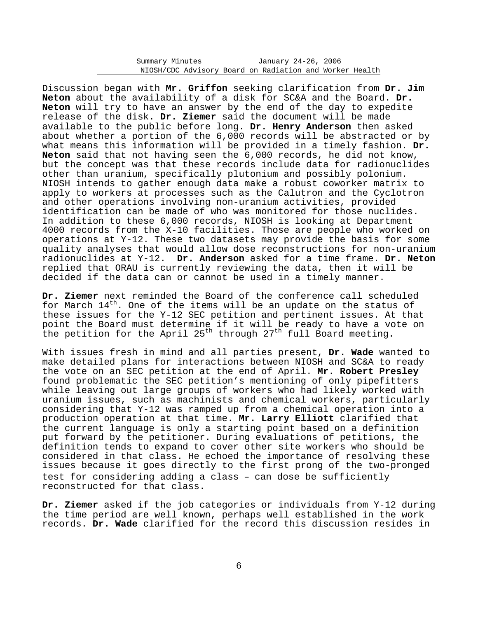Discussion began with **Mr. Griffon** seeking clarification from **Dr. Jim Neton** about the availability of a disk for SC&A and the Board. **Dr. Neton** will try to have an answer by the end of the day to expedite release of the disk. **Dr. Ziemer** said the document will be made available to the public before long. **Dr. Henry Anderson** then asked about whether a portion of the 6,000 records will be abstracted or by what means this information will be provided in a timely fashion. **Dr. Neton** said that not having seen the 6,000 records, he did not know, but the concept was that these records include data for radionuclides other than uranium, specifically plutonium and possibly polonium. NIOSH intends to gather enough data make a robust coworker matrix to apply to workers at processes such as the Calutron and the Cyclotron and other operations involving non-uranium activities, provided identification can be made of who was monitored for those nuclides. In addition to these 6,000 records, NIOSH is looking at Department 4000 records from the X-10 facilities. Those are people who worked on operations at Y-12. These two datasets may provide the basis for some quality analyses that would allow dose reconstructions for non-uranium radionuclides at Y-12. **Dr. Anderson** asked for a time frame. **Dr. Neton** replied that ORAU is currently reviewing the data, then it will be decided if the data can or cannot be used in a timely manner.

**Dr. Ziemer** next reminded the Board of the conference call scheduled for March  $14<sup>th</sup>$ . One of the items will be an update on the status of these issues for the Y-12 SEC petition and pertinent issues. At that point the Board must determine if it will be ready to have a vote on the petition for the April 25<sup>th</sup> through 27<sup>th</sup> full Board meeting.

With issues fresh in mind and all parties present, **Dr. Wade** wanted to make detailed plans for interactions between NIOSH and SC&A to ready the vote on an SEC petition at the end of April. **Mr. Robert Presley** found problematic the SEC petition's mentioning of only pipefitters while leaving out large groups of workers who had likely worked with uranium issues, such as machinists and chemical workers, particularly considering that Y-12 was ramped up from a chemical operation into a production operation at that time. **Mr. Larry Elliott** clarified that the current language is only a starting point based on a definition put forward by the petitioner. During evaluations of petitions, the definition tends to expand to cover other site workers who should be considered in that class. He echoed the importance of resolving these issues because it goes directly to the first prong of the two-pronged test for considering adding a class - can dose be sufficiently reconstructed for that class.

**Dr. Ziemer** asked if the job categories or individuals from Y-12 during the time period are well known, perhaps well established in the work records. **Dr. Wade** clarified for the record this discussion resides in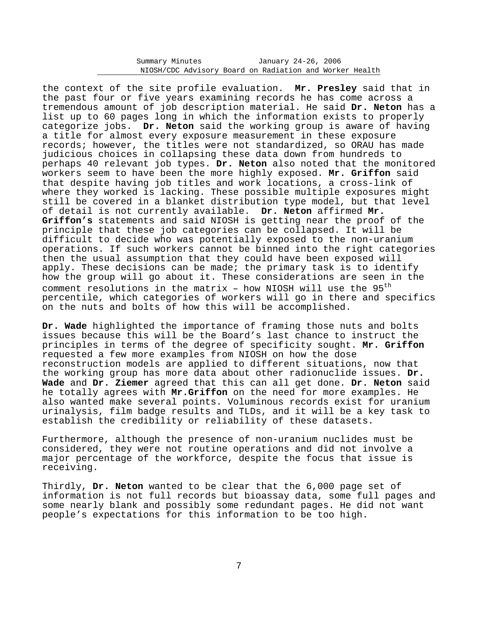| Summary Minutes                                         |  | January 24-26, 2006 |  |  |
|---------------------------------------------------------|--|---------------------|--|--|
| NIOSH/CDC Advisory Board on Radiation and Worker Health |  |                     |  |  |

the context of the site profile evaluation. **Mr. Presley** said that in the past four or five years examining records he has come across a tremendous amount of job description material. He said **Dr. Neton** has a list up to 60 pages long in which the information exists to properly categorize jobs. **Dr. Neton** said the working group is aware of having a title for almost every exposure measurement in these exposure records; however, the titles were not standardized, so ORAU has made judicious choices in collapsing these data down from hundreds to perhaps 40 relevant job types. **Dr. Neton** also noted that the monitored workers seem to have been the more highly exposed. **Mr. Griffon** said that despite having job titles and work locations, a cross-link of where they worked is lacking. These possible multiple exposures might still be covered in a blanket distribution type model, but that level of detail is not currently available. **Dr. Neton** affirmed **Mr. Griffon's** statements and said NIOSH is getting near the proof of the principle that these job categories can be collapsed. It will be difficult to decide who was potentially exposed to the non-uranium operations. If such workers cannot be binned into the right categories then the usual assumption that they could have been exposed will apply. These decisions can be made; the primary task is to identify how the group will go about it. These considerations are seen in the comment resolutions in the matrix - how NIOSH will use the  $95<sup>th</sup>$ percentile, which categories of workers will go in there and specifics on the nuts and bolts of how this will be accomplished.

**Dr. Wade** highlighted the importance of framing those nuts and bolts issues because this will be the Board's last chance to instruct the principles in terms of the degree of specificity sought. **Mr. Griffon** requested a few more examples from NIOSH on how the dose reconstruction models are applied to different situations, now that the working group has more data about other radionuclide issues. **Dr. Wade** and **Dr. Ziemer** agreed that this can all get done. **Dr. Neton** said he totally agrees with **Mr.Griffon** on the need for more examples. He also wanted make several points. Voluminous records exist for uranium urinalysis, film badge results and TLDs, and it will be a key task to establish the credibility or reliability of these datasets.

Furthermore, although the presence of non-uranium nuclides must be considered, they were not routine operations and did not involve a major percentage of the workforce, despite the focus that issue is receiving.

Thirdly, **Dr. Neton** wanted to be clear that the 6,000 page set of information is not full records but bioassay data, some full pages and some nearly blank and possibly some redundant pages. He did not want people's expectations for this information to be too high.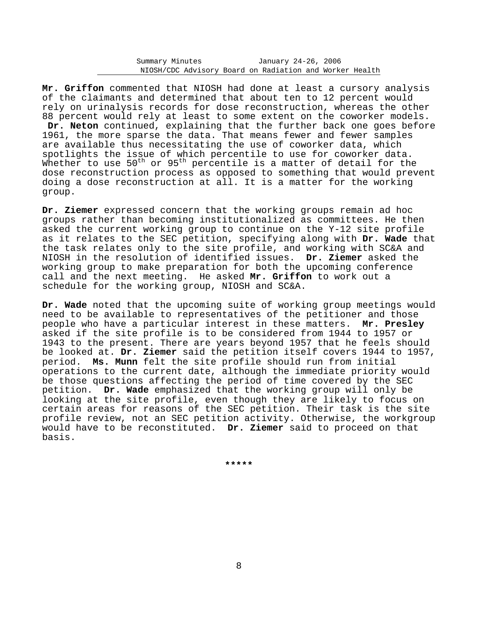**Mr. Griffon** commented that NIOSH had done at least a cursory analysis of the claimants and determined that about ten to 12 percent would rely on urinalysis records for dose reconstruction, whereas the other 88 percent would rely at least to some extent on the coworker models. **Dr. Neton** continued, explaining that the further back one goes before 1961, the more sparse the data. That means fewer and fewer samples are available thus necessitating the use of coworker data, which spotlights the issue of which percentile to use for coworker data. Whether to use 50<sup>th</sup> or 95<sup>th</sup> percentile is a matter of detail for the dose reconstruction process as opposed to something that would prevent doing a dose reconstruction at all. It is a matter for the working group.

**Dr. Ziemer** expressed concern that the working groups remain ad hoc groups rather than becoming institutionalized as committees. He then asked the current working group to continue on the Y-12 site profile as it relates to the SEC petition, specifying along with **Dr. Wade** that the task relates only to the site profile, and working with SC&A and NIOSH in the resolution of identified issues. **Dr. Ziemer** asked the working group to make preparation for both the upcoming conference call and the next meeting. He asked **Mr. Griffon** to work out a schedule for the working group, NIOSH and SC&A.

**Dr. Wade** noted that the upcoming suite of working group meetings would need to be available to representatives of the petitioner and those people who have a particular interest in these matters. **Mr. Presley** asked if the site profile is to be considered from 1944 to 1957 or 1943 to the present. There are years beyond 1957 that he feels should be looked at. **Dr. Ziemer** said the petition itself covers 1944 to 1957, period. **Ms. Munn** felt the site profile should run from initial operations to the current date, although the immediate priority would be those questions affecting the period of time covered by the SEC petition. **Dr. Wade** emphasized that the working group will only be looking at the site profile, even though they are likely to focus on certain areas for reasons of the SEC petition. Their task is the site profile review, not an SEC petition activity. Otherwise, the workgroup would have to be reconstituted. **Dr. Ziemer** said to proceed on that basis.

**\*\*\*\*\***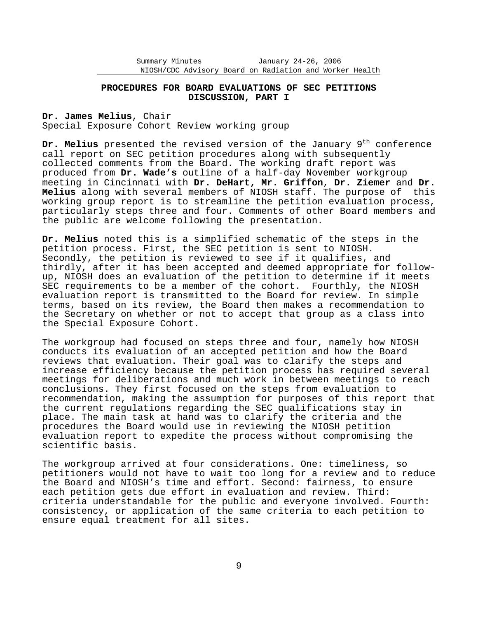## **PROCEDURES FOR BOARD EVALUATIONS OF SEC PETITIONS DISCUSSION, PART I**

**Dr. James Melius**, Chair Special Exposure Cohort Review working group

Dr. Melius presented the revised version of the January 9<sup>th</sup> conference call report on SEC petition procedures along with subsequently collected comments from the Board. The working draft report was produced from **Dr. Wade's** outline of a half-day November workgroup meeting in Cincinnati with **Dr. DeHart, Mr. Griffon**, **Dr. Ziemer** and **Dr. Melius** along with several members of NIOSH staff. The purpose of this working group report is to streamline the petition evaluation process, particularly steps three and four. Comments of other Board members and the public are welcome following the presentation.

**Dr. Melius** noted this is a simplified schematic of the steps in the petition process. First, the SEC petition is sent to NIOSH. Secondly, the petition is reviewed to see if it qualifies, and thirdly, after it has been accepted and deemed appropriate for follow up, NIOSH does an evaluation of the petition to determine if it meets SEC requirements to be a member of the cohort. Fourthly, the NIOSH evaluation report is transmitted to the Board for review. In simple terms, based on its review, the Board then makes a recommendation to the Secretary on whether or not to accept that group as a class into the Special Exposure Cohort.

The workgroup had focused on steps three and four, namely how NIOSH conducts its evaluation of an accepted petition and how the Board reviews that evaluation. Their goal was to clarify the steps and increase efficiency because the petition process has required several meetings for deliberations and much work in between meetings to reach conclusions. They first focused on the steps from evaluation to recommendation, making the assumption for purposes of this report that the current regulations regarding the SEC qualifications stay in place. The main task at hand was to clarify the criteria and the procedures the Board would use in reviewing the NIOSH petition evaluation report to expedite the process without compromising the scientific basis.

The workgroup arrived at four considerations. One: timeliness, so petitioners would not have to wait too long for a review and to reduce the Board and NIOSH's time and effort. Second: fairness, to ensure each petition gets due effort in evaluation and review. Third: criteria understandable for the public and everyone involved. Fourth: consistency, or application of the same criteria to each petition to ensure equal treatment for all sites.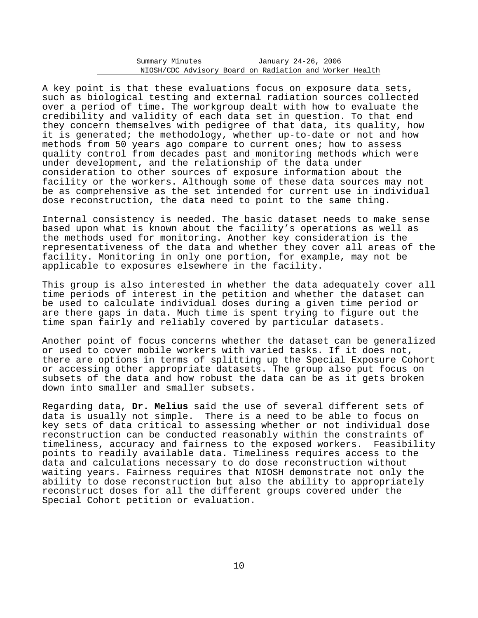A key point is that these evaluations focus on exposure data sets, such as biological testing and external radiation sources collected over a period of time. The workgroup dealt with how to evaluate the credibility and validity of each data set in question. To that end they concern themselves with pedigree of that data, its quality, how it is generated; the methodology, whether up-to-date or not and how methods from 50 years ago compare to current ones; how to assess quality control from decades past and monitoring methods which were under development, and the relationship of the data under consideration to other sources of exposure information about the facility or the workers. Although some of these data sources may not be as comprehensive as the set intended for current use in individual dose reconstruction, the data need to point to the same thing.

Internal consistency is needed. The basic dataset needs to make sense based upon what is known about the facility's operations as well as the methods used for monitoring. Another key consideration is the representativeness of the data and whether they cover all areas of the facility. Monitoring in only one portion, for example, may not be applicable to exposures elsewhere in the facility.

This group is also interested in whether the data adequately cover all time periods of interest in the petition and whether the dataset can be used to calculate individual doses during a given time period or are there gaps in data. Much time is spent trying to figure out the time span fairly and reliably covered by particular datasets.

Another point of focus concerns whether the dataset can be generalized or used to cover mobile workers with varied tasks. If it does not, there are options in terms of splitting up the Special Exposure Cohort or accessing other appropriate datasets. The group also put focus on subsets of the data and how robust the data can be as it gets broken down into smaller and smaller subsets.

Regarding data, **Dr. Melius** said the use of several different sets of data is usually not simple. There is a need to be able to focus on key sets of data critical to assessing whether or not individual dose reconstruction can be conducted reasonably within the constraints of timeliness, accuracy and fairness to the exposed workers. Feasibility points to readily available data. Timeliness requires access to the data and calculations necessary to do dose reconstruction without waiting years. Fairness requires that NIOSH demonstrate not only the ability to dose reconstruction but also the ability to appropriately reconstruct doses for all the different groups covered under the Special Cohort petition or evaluation.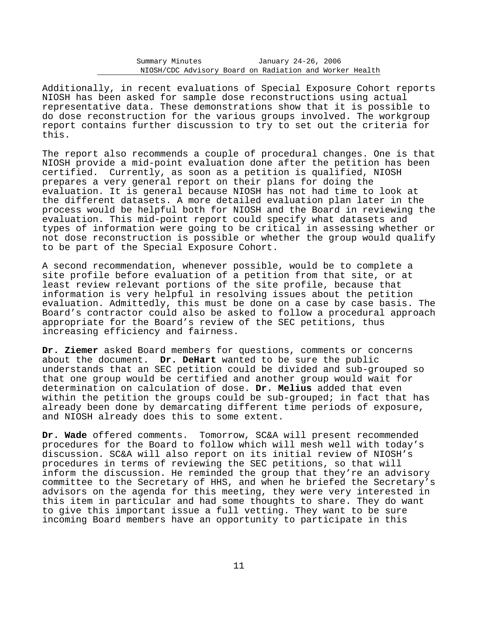Additionally, in recent evaluations of Special Exposure Cohort reports NIOSH has been asked for sample dose reconstructions using actual representative data. These demonstrations show that it is possible to do dose reconstruction for the various groups involved. The workgroup report contains further discussion to try to set out the criteria for this.

The report also recommends a couple of procedural changes. One is that NIOSH provide a mid-point evaluation done after the petition has been certified. Currently, as soon as a petition is qualified, NIOSH prepares a very general report on their plans for doing the evaluation. It is general because NIOSH has not had time to look at the different datasets. A more detailed evaluation plan later in the process would be helpful both for NIOSH and the Board in reviewing the evaluation. This mid-point report could specify what datasets and types of information were going to be critical in assessing whether or not dose reconstruction is possible or whether the group would qualify to be part of the Special Exposure Cohort.

A second recommendation, whenever possible, would be to complete a site profile before evaluation of a petition from that site, or at least review relevant portions of the site profile, because that information is very helpful in resolving issues about the petition evaluation. Admittedly, this must be done on a case by case basis. The Board's contractor could also be asked to follow a procedural approach appropriate for the Board's review of the SEC petitions, thus increasing efficiency and fairness.

**Dr. Ziemer** asked Board members for questions, comments or concerns about the document. **Dr. DeHart** wanted to be sure the public understands that an SEC petition could be divided and sub-grouped so that one group would be certified and another group would wait for determination on calculation of dose. **Dr. Melius** added that even within the petition the groups could be sub-grouped; in fact that has already been done by demarcating different time periods of exposure, and NIOSH already does this to some extent.

**Dr. Wade** offered comments. Tomorrow, SC&A will present recommended procedures for the Board to follow which will mesh well with today's discussion. SC&A will also report on its initial review of NIOSH's procedures in terms of reviewing the SEC petitions, so that will inform the discussion. He reminded the group that they're an advisory committee to the Secretary of HHS, and when he briefed the Secretary's advisors on the agenda for this meeting, they were very interested in this item in particular and had some thoughts to share. They do want to give this important issue a full vetting. They want to be sure incoming Board members have an opportunity to participate in this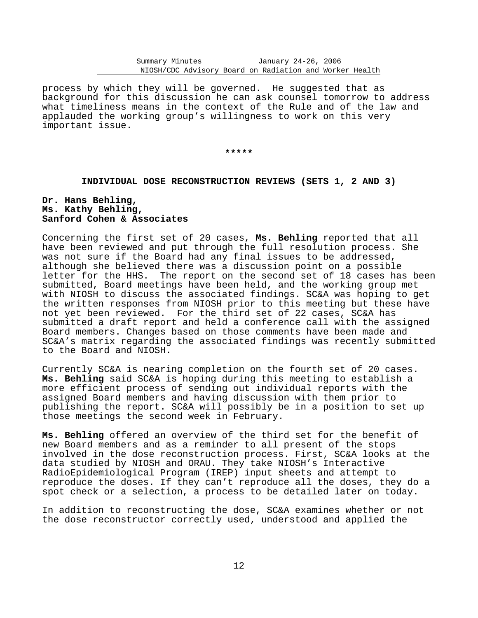process by which they will be governed. He suggested that as background for this discussion he can ask counsel tomorrow to address what timeliness means in the context of the Rule and of the law and applauded the working group's willingness to work on this very important issue.

**\*\*\*\*\*** 

## **INDIVIDUAL DOSE RECONSTRUCTION REVIEWS (SETS 1, 2 AND 3)**

# **Dr. Hans Behling, Ms. Kathy Behling, Sanford Cohen & Associates**

Concerning the first set of 20 cases, **Ms. Behling** reported that all have been reviewed and put through the full resolution process. She was not sure if the Board had any final issues to be addressed, although she believed there was a discussion point on a possible letter for the HHS. The report on the second set of 18 cases has been submitted, Board meetings have been held, and the working group met with NIOSH to discuss the associated findings. SC&A was hoping to get the written responses from NIOSH prior to this meeting but these have not yet been reviewed. For the third set of 22 cases, SC&A has submitted a draft report and held a conference call with the assigned Board members. Changes based on those comments have been made and SC&A's matrix regarding the associated findings was recently submitted to the Board and NIOSH.

Currently SC&A is nearing completion on the fourth set of 20 cases. **Ms. Behling** said SC&A is hoping during this meeting to establish a more efficient process of sending out individual reports with the assigned Board members and having discussion with them prior to publishing the report. SC&A will possibly be in a position to set up those meetings the second week in February.

**Ms. Behling** offered an overview of the third set for the benefit of new Board members and as a reminder to all present of the stops involved in the dose reconstruction process. First, SC&A looks at the data studied by NIOSH and ORAU. They take NIOSH's Interactive RadioEpidemiological Program (IREP) input sheets and attempt to reproduce the doses. If they can't reproduce all the doses, they do a spot check or a selection, a process to be detailed later on today.

In addition to reconstructing the dose, SC&A examines whether or not the dose reconstructor correctly used, understood and applied the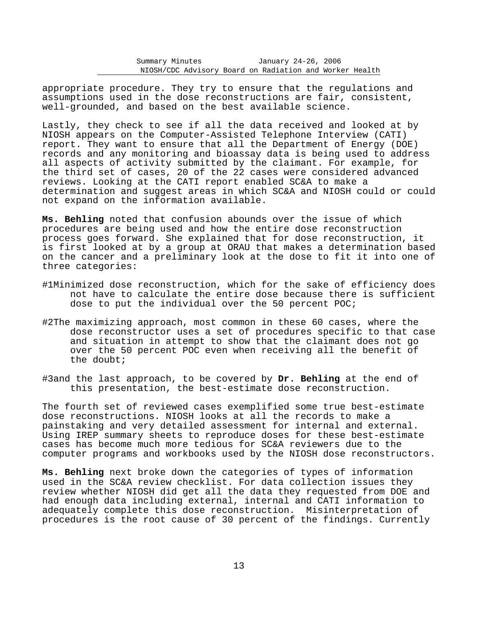appropriate procedure. They try to ensure that the regulations and assumptions used in the dose reconstructions are fair, consistent, well-grounded, and based on the best available science.

Lastly, they check to see if all the data received and looked at by NIOSH appears on the Computer-Assisted Telephone Interview (CATI) report. They want to ensure that all the Department of Energy (DOE) records and any monitoring and bioassay data is being used to address all aspects of activity submitted by the claimant. For example, for the third set of cases, 20 of the 22 cases were considered advanced reviews. Looking at the CATI report enabled SC&A to make a determination and suggest areas in which SC&A and NIOSH could or could not expand on the information available.

**Ms. Behling** noted that confusion abounds over the issue of which procedures are being used and how the entire dose reconstruction process goes forward. She explained that for dose reconstruction, it is first looked at by a group at ORAU that makes a determination based on the cancer and a preliminary look at the dose to fit it into one of three categories:

- #1Minimized dose reconstruction, which for the sake of efficiency does not have to calculate the entire dose because there is sufficient dose to put the individual over the 50 percent POC;
- #2The maximizing approach, most common in these 60 cases, where the dose reconstructor uses a set of procedures specific to that case and situation in attempt to show that the claimant does not go over the 50 percent POC even when receiving all the benefit of the doubt;
- #3and the last approach, to be covered by **Dr. Behling** at the end of this presentation, the best-estimate dose reconstruction.

The fourth set of reviewed cases exemplified some true best-estimate dose reconstructions. NIOSH looks at all the records to make a painstaking and very detailed assessment for internal and external. Using IREP summary sheets to reproduce doses for these best-estimate cases has become much more tedious for SC&A reviewers due to the computer programs and workbooks used by the NIOSH dose reconstructors.

**Ms. Behling** next broke down the categories of types of information used in the SC&A review checklist. For data collection issues they review whether NIOSH did get all the data they requested from DOE and had enough data including external, internal and CATI information to adequately complete this dose reconstruction. Misinterpretation of procedures is the root cause of 30 percent of the findings. Currently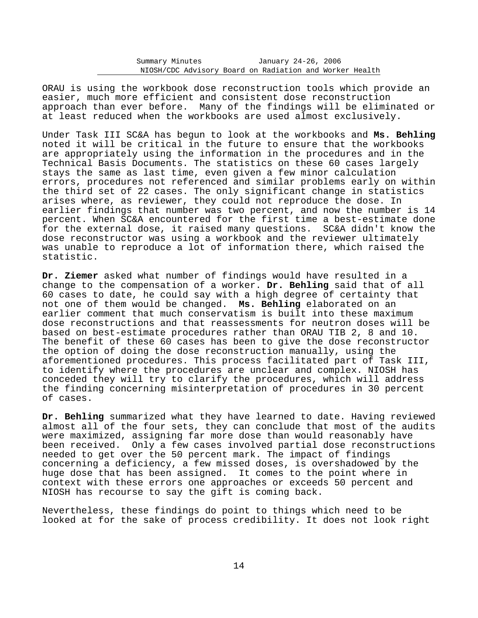ORAU is using the workbook dose reconstruction tools which provide an easier, much more efficient and consistent dose reconstruction approach than ever before. Many of the findings will be eliminated or at least reduced when the workbooks are used almost exclusively.

Under Task III SC&A has begun to look at the workbooks and **Ms. Behling** noted it will be critical in the future to ensure that the workbooks are appropriately using the information in the procedures and in the Technical Basis Documents. The statistics on these 60 cases largely stays the same as last time, even given a few minor calculation errors, procedures not referenced and similar problems early on within the third set of 22 cases. The only significant change in statistics arises where, as reviewer, they could not reproduce the dose. In earlier findings that number was two percent, and now the number is 14 percent. When SC&A encountered for the first time a best-estimate done for the external dose, it raised many questions. SC&A didn't know the dose reconstructor was using a workbook and the reviewer ultimately was unable to reproduce a lot of information there, which raised the statistic.

**Dr. Ziemer** asked what number of findings would have resulted in a change to the compensation of a worker. **Dr. Behling** said that of all 60 cases to date, he could say with a high degree of certainty that not one of them would be changed. **Ms. Behling** elaborated on an earlier comment that much conservatism is built into these maximum dose reconstructions and that reassessments for neutron doses will be based on best-estimate procedures rather than ORAU TIB 2, 8 and 10. The benefit of these 60 cases has been to give the dose reconstructor the option of doing the dose reconstruction manually, using the aforementioned procedures. This process facilitated part of Task III, to identify where the procedures are unclear and complex. NIOSH has conceded they will try to clarify the procedures, which will address the finding concerning misinterpretation of procedures in 30 percent of cases.

**Dr. Behling** summarized what they have learned to date. Having reviewed almost all of the four sets, they can conclude that most of the audits were maximized, assigning far more dose than would reasonably have been received. Only a few cases involved partial dose reconstructions needed to get over the 50 percent mark. The impact of findings concerning a deficiency, a few missed doses, is overshadowed by the huge dose that has been assigned. It comes to the point where in context with these errors one approaches or exceeds 50 percent and NIOSH has recourse to say the gift is coming back.

Nevertheless, these findings do point to things which need to be looked at for the sake of process credibility. It does not look right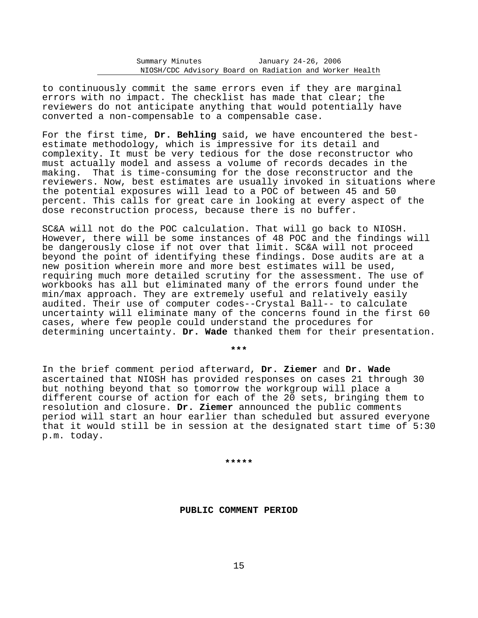to continuously commit the same errors even if they are marginal errors with no impact. The checklist has made that clear; the reviewers do not anticipate anything that would potentially have converted a non-compensable to a compensable case.

For the first time, **Dr. Behling** said, we have encountered the bestestimate methodology, which is impressive for its detail and complexity. It must be very tedious for the dose reconstructor who must actually model and assess a volume of records decades in the making. That is time-consuming for the dose reconstructor and the reviewers. Now, best estimates are usually invoked in situations where the potential exposures will lead to a POC of between 45 and 50 percent. This calls for great care in looking at every aspect of the dose reconstruction process, because there is no buffer.

SC&A will not do the POC calculation. That will go back to NIOSH. However, there will be some instances of 48 POC and the findings will be dangerously close if not over that limit. SC&A will not proceed beyond the point of identifying these findings. Dose audits are at a new position wherein more and more best estimates will be used, requiring much more detailed scrutiny for the assessment. The use of workbooks has all but eliminated many of the errors found under the min/max approach. They are extremely useful and relatively easily audited. Their use of computer codes--Crystal Ball-- to calculate uncertainty will eliminate many of the concerns found in the first 60 cases, where few people could understand the procedures for determining uncertainty. **Dr. Wade** thanked them for their presentation.

In the brief comment period afterward, **Dr. Ziemer** and **Dr. Wade** ascertained that NIOSH has provided responses on cases 21 through 30 but nothing beyond that so tomorrow the workgroup will place a different course of action for each of the 20 sets, bringing them to resolution and closure. **Dr. Ziemer** announced the public comments period will start an hour earlier than scheduled but assured everyone that it would still be in session at the designated start time of 5:30 p.m. today.

**\*\*\*** 

**\*\*\*\*\*** 

**PUBLIC COMMENT PERIOD**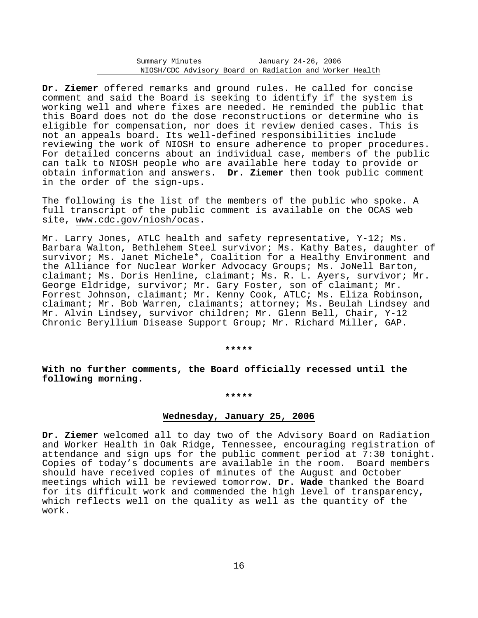**Dr. Ziemer** offered remarks and ground rules. He called for concise comment and said the Board is seeking to identify if the system is working well and where fixes are needed. He reminded the public that this Board does not do the dose reconstructions or determine who is eligible for compensation, nor does it review denied cases. This is not an appeals board. Its well-defined responsibilities include reviewing the work of NIOSH to ensure adherence to proper procedures. For detailed concerns about an individual case, members of the public can talk to NIOSH people who are available here today to provide or obtain information and answers. **Dr. Ziemer** then took public comment in the order of the sign-ups.

The following is the list of the members of the public who spoke. A full transcript of the public comment is available on the OCAS web site, www.cdc.gov/niosh/ocas.

Mr. Larry Jones, ATLC health and safety representative, Y-12; Ms. Barbara Walton, Bethlehem Steel survivor; Ms. Kathy Bates, daughter of survivor; Ms. Janet Michele\*, Coalition for a Healthy Environment and the Alliance for Nuclear Worker Advocacy Groups; Ms. JoNell Barton, claimant; Ms. Doris Henline, claimant; Ms. R. L. Ayers, survivor; Mr. George Eldridge, survivor; Mr. Gary Foster, son of claimant; Mr. Forrest Johnson, claimant; Mr. Kenny Cook, ATLC; Ms. Eliza Robinson, claimant; Mr. Bob Warren, claimants; attorney; Ms. Beulah Lindsey and Mr. Alvin Lindsey, survivor children; Mr. Glenn Bell, Chair, Y-12 Chronic Beryllium Disease Support Group; Mr. Richard Miller, GAP.

**\*\*\*\*\*** 

**With no further comments, the Board officially recessed until the following morning.** 

# **\*\*\*\*\***

## **Wednesday, January 25, 2006**

**Dr. Ziemer** welcomed all to day two of the Advisory Board on Radiation and Worker Health in Oak Ridge, Tennessee, encouraging registration of attendance and sign ups for the public comment period at 7:30 tonight. Copies of today's documents are available in the room. Board members should have received copies of minutes of the August and October meetings which will be reviewed tomorrow. **Dr. Wade** thanked the Board for its difficult work and commended the high level of transparency, which reflects well on the quality as well as the quantity of the work.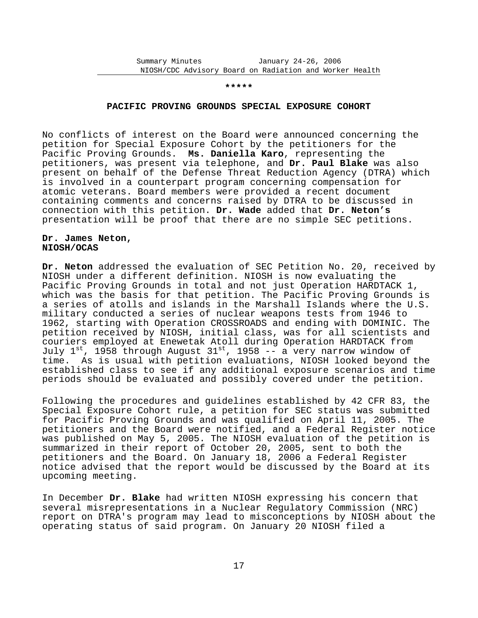#### **\*\*\*\*\***

#### **PACIFIC PROVING GROUNDS SPECIAL EXPOSURE COHORT**

No conflicts of interest on the Board were announced concerning the petition for Special Exposure Cohort by the petitioners for the Pacific Proving Grounds. **Ms. Daniella Karo**, representing the petitioners, was present via telephone, and **Dr. Paul Blake** was also present on behalf of the Defense Threat Reduction Agency (DTRA) which is involved in a counterpart program concerning compensation for atomic veterans. Board members were provided a recent document containing comments and concerns raised by DTRA to be discussed in connection with this petition. **Dr. Wade** added that **Dr. Neton's** presentation will be proof that there are no simple SEC petitions.

## **Dr. James Neton, NIOSH/OCAS**

**Dr. Neton** addressed the evaluation of SEC Petition No. 20, received by NIOSH under a different definition. NIOSH is now evaluating the Pacific Proving Grounds in total and not just Operation HARDTACK 1, which was the basis for that petition. The Pacific Proving Grounds is a series of atolls and islands in the Marshall Islands where the U.S. military conducted a series of nuclear weapons tests from 1946 to 1962, starting with Operation CROSSROADS and ending with DOMINIC. The petition received by NIOSH, initial class, was for all scientists and couriers employed at Enewetak Atoll during Operation HARDTACK from July  $1^{st}$ , 1958 through August  $31^{st}$ , 1958 -- a very narrow window of time. As is usual with petition evaluations, NIOSH looked beyond the established class to see if any additional exposure scenarios and time periods should be evaluated and possibly covered under the petition.

Following the procedures and guidelines established by 42 CFR 83, the Special Exposure Cohort rule, a petition for SEC status was submitted for Pacific Proving Grounds and was qualified on April 11, 2005. The petitioners and the Board were notified, and a Federal Register notice was published on May 5, 2005. The NIOSH evaluation of the petition is summarized in their report of October 20, 2005, sent to both the petitioners and the Board. On January 18, 2006 a Federal Register notice advised that the report would be discussed by the Board at its upcoming meeting.

In December **Dr. Blake** had written NIOSH expressing his concern that several misrepresentations in a Nuclear Regulatory Commission (NRC) report on DTRA's program may lead to misconceptions by NIOSH about the operating status of said program. On January 20 NIOSH filed a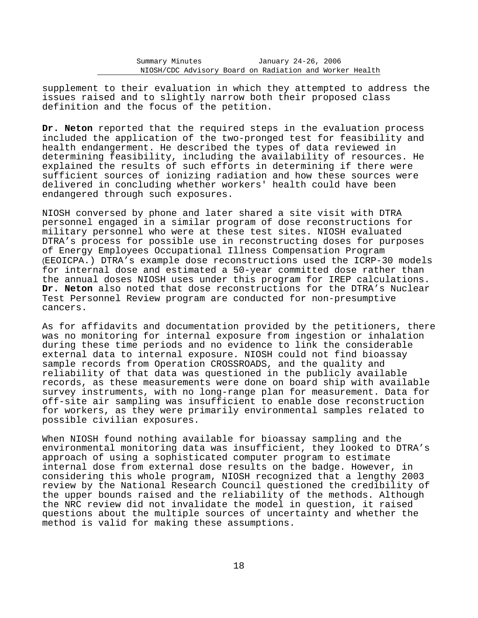supplement to their evaluation in which they attempted to address the issues raised and to slightly narrow both their proposed class definition and the focus of the petition.

**Dr. Neton** reported that the required steps in the evaluation process included the application of the two-pronged test for feasibility and health endangerment. He described the types of data reviewed in determining feasibility, including the availability of resources. He explained the results of such efforts in determining if there were sufficient sources of ionizing radiation and how these sources were delivered in concluding whether workers' health could have been endangered through such exposures.

 of Energy Employees Occupational Illness Compensation Program NIOSH conversed by phone and later shared a site visit with DTRA personnel engaged in a similar program of dose reconstructions for military personnel who were at these test sites. NIOSH evaluated DTRA's process for possible use in reconstructing doses for purposes (EEOICPA.) DTRA's example dose reconstructions used the ICRP-30 models for internal dose and estimated a 50-year committed dose rather than the annual doses NIOSH uses under this program for IREP calculations. **Dr. Neton** also noted that dose reconstructions for the DTRA's Nuclear Test Personnel Review program are conducted for non-presumptive cancers.

As for affidavits and documentation provided by the petitioners, there was no monitoring for internal exposure from ingestion or inhalation during these time periods and no evidence to link the considerable external data to internal exposure. NIOSH could not find bioassay sample records from Operation CROSSROADS, and the quality and reliability of that data was questioned in the publicly available records, as these measurements were done on board ship with available survey instruments, with no long-range plan for measurement. Data for off-site air sampling was insufficient to enable dose reconstruction for workers, as they were primarily environmental samples related to possible civilian exposures.

When NIOSH found nothing available for bioassay sampling and the environmental monitoring data was insufficient, they looked to DTRA's approach of using a sophisticated computer program to estimate internal dose from external dose results on the badge. However, in considering this whole program, NIOSH recognized that a lengthy 2003 review by the National Research Council questioned the credibility of the upper bounds raised and the reliability of the methods. Although the NRC review did not invalidate the model in question, it raised questions about the multiple sources of uncertainty and whether the method is valid for making these assumptions.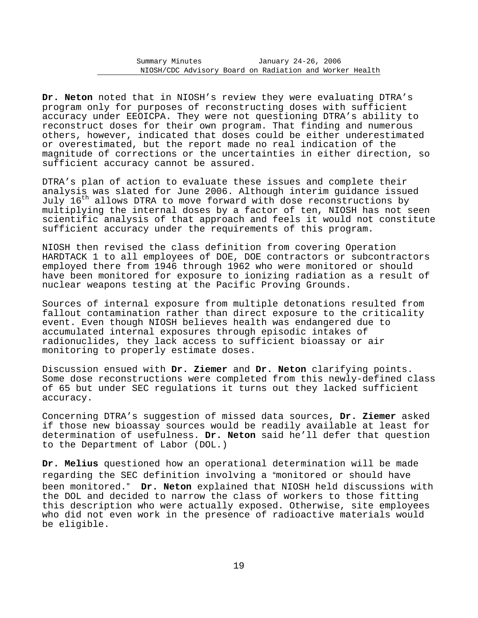**Dr. Neton** noted that in NIOSH's review they were evaluating DTRA's program only for purposes of reconstructing doses with sufficient accuracy under EEOICPA. They were not questioning DTRA's ability to reconstruct doses for their own program. That finding and numerous others, however, indicated that doses could be either underestimated or overestimated, but the report made no real indication of the magnitude of corrections or the uncertainties in either direction, so sufficient accuracy cannot be assured.

DTRA's plan of action to evaluate these issues and complete their analysis was slated for June 2006. Although interim guidance issued July 16th allows DTRA to move forward with dose reconstructions by multiplying the internal doses by a factor of ten, NIOSH has not seen scientific analysis of that approach and feels it would not constitute sufficient accuracy under the requirements of this program.

NIOSH then revised the class definition from covering Operation HARDTACK 1 to all employees of DOE, DOE contractors or subcontractors employed there from 1946 through 1962 who were monitored or should have been monitored for exposure to ionizing radiation as a result of nuclear weapons testing at the Pacific Proving Grounds.

Sources of internal exposure from multiple detonations resulted from fallout contamination rather than direct exposure to the criticality event. Even though NIOSH believes health was endangered due to accumulated internal exposures through episodic intakes of radionuclides, they lack access to sufficient bioassay or air monitoring to properly estimate doses.

Discussion ensued with **Dr. Ziemer** and **Dr. Neton** clarifying points. Some dose reconstructions were completed from this newly-defined class of 65 but under SEC regulations it turns out they lacked sufficient accuracy.

Concerning DTRA's suggestion of missed data sources, **Dr. Ziemer** asked if those new bioassay sources would be readily available at least for determination of usefulness. **Dr. Neton** said he'll defer that question to the Department of Labor (DOL.)

been monitored." Dr. Neton explained that NIOSH held discussions with **Dr. Melius** questioned how an operational determination will be made regarding the SEC definition involving a "monitored or should have the DOL and decided to narrow the class of workers to those fitting this description who were actually exposed. Otherwise, site employees who did not even work in the presence of radioactive materials would be eligible.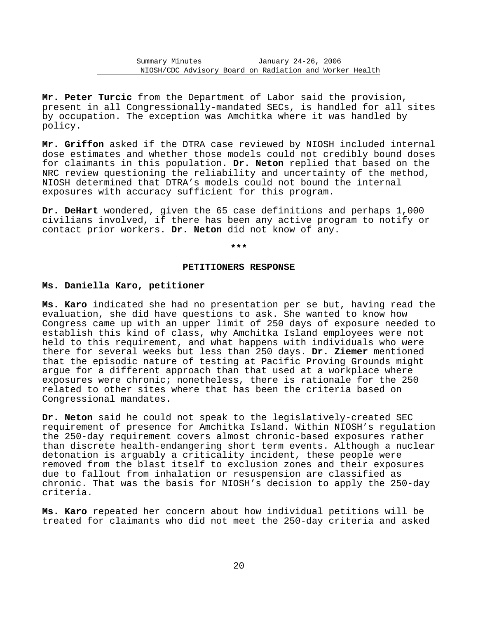**Mr. Peter Turcic** from the Department of Labor said the provision, present in all Congressionally-mandated SECs, is handled for all sites by occupation. The exception was Amchitka where it was handled by policy.

**Mr. Griffon** asked if the DTRA case reviewed by NIOSH included internal dose estimates and whether those models could not credibly bound doses for claimants in this population. **Dr. Neton** replied that based on the NRC review questioning the reliability and uncertainty of the method, NIOSH determined that DTRA's models could not bound the internal exposures with accuracy sufficient for this program.

**Dr. DeHart** wondered, given the 65 case definitions and perhaps 1,000 civilians involved, if there has been any active program to notify or contact prior workers. **Dr. Neton** did not know of any.

**\*\*\*** 

## **PETITIONERS RESPONSE**

## **Ms. Daniella Karo, petitioner**

**Ms. Karo** indicated she had no presentation per se but, having read the evaluation, she did have questions to ask. She wanted to know how Congress came up with an upper limit of 250 days of exposure needed to establish this kind of class, why Amchitka Island employees were not held to this requirement, and what happens with individuals who were there for several weeks but less than 250 days. **Dr. Ziemer** mentioned that the episodic nature of testing at Pacific Proving Grounds might argue for a different approach than that used at a workplace where exposures were chronic; nonetheless, there is rationale for the 250 related to other sites where that has been the criteria based on Congressional mandates.

**Dr. Neton** said he could not speak to the legislatively-created SEC requirement of presence for Amchitka Island. Within NIOSH's regulation the 250-day requirement covers almost chronic-based exposures rather than discrete health-endangering short term events. Although a nuclear detonation is arguably a criticality incident, these people were removed from the blast itself to exclusion zones and their exposures due to fallout from inhalation or resuspension are classified as chronic. That was the basis for NIOSH's decision to apply the 250-day criteria.

**Ms. Karo** repeated her concern about how individual petitions will be treated for claimants who did not meet the 250-day criteria and asked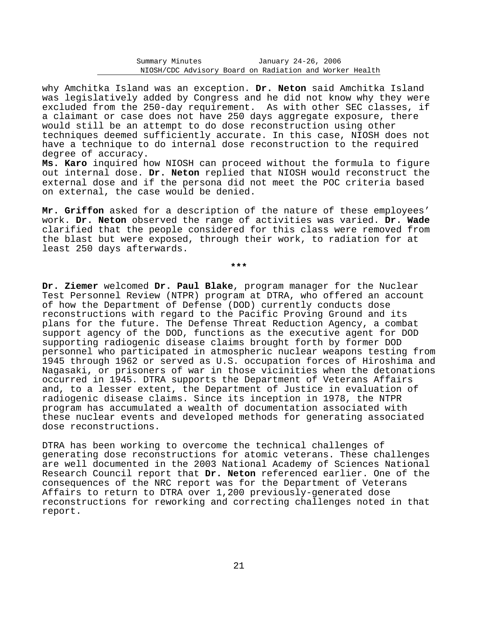why Amchitka Island was an exception. **Dr. Neton** said Amchitka Island was legislatively added by Congress and he did not know why they were excluded from the 250-day requirement. As with other SEC classes, if a claimant or case does not have 250 days aggregate exposure, there would still be an attempt to do dose reconstruction using other techniques deemed sufficiently accurate. In this case, NIOSH does not have a technique to do internal dose reconstruction to the required degree of accuracy.

**Ms. Karo** inquired how NIOSH can proceed without the formula to figure out internal dose. **Dr. Neton** replied that NIOSH would reconstruct the external dose and if the persona did not meet the POC criteria based on external, the case would be denied.

**Mr. Griffon** asked for a description of the nature of these employees' work. **Dr. Neton** observed the range of activities was varied. **Dr. Wade** clarified that the people considered for this class were removed from the blast but were exposed, through their work, to radiation for at least 250 days afterwards.

**\*\*\*** 

**Dr. Ziemer** welcomed **Dr. Paul Blake**, program manager for the Nuclear Test Personnel Review (NTPR) program at DTRA, who offered an account of how the Department of Defense (DOD) currently conducts dose reconstructions with regard to the Pacific Proving Ground and its plans for the future. The Defense Threat Reduction Agency, a combat support agency of the DOD, functions as the executive agent for DOD supporting radiogenic disease claims brought forth by former DOD personnel who participated in atmospheric nuclear weapons testing from 1945 through 1962 or served as U.S. occupation forces of Hiroshima and Nagasaki, or prisoners of war in those vicinities when the detonations occurred in 1945. DTRA supports the Department of Veterans Affairs and, to a lesser extent, the Department of Justice in evaluation of radiogenic disease claims. Since its inception in 1978, the NTPR program has accumulated a wealth of documentation associated with these nuclear events and developed methods for generating associated dose reconstructions.

DTRA has been working to overcome the technical challenges of generating dose reconstructions for atomic veterans. These challenges are well documented in the 2003 National Academy of Sciences National Research Council report that **Dr. Neton** referenced earlier. One of the consequences of the NRC report was for the Department of Veterans Affairs to return to DTRA over 1,200 previously-generated dose reconstructions for reworking and correcting challenges noted in that report.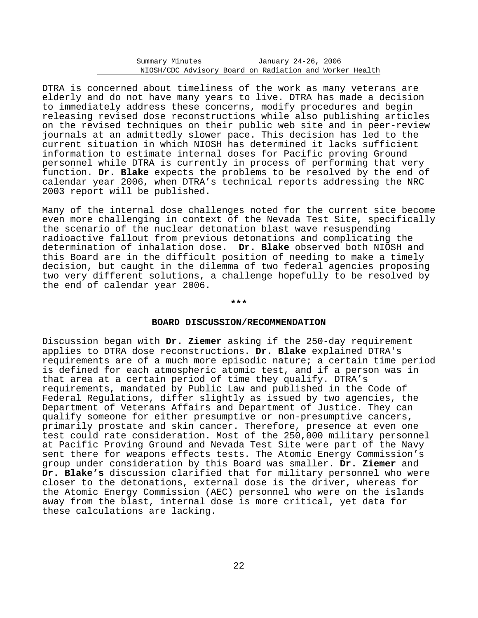DTRA is concerned about timeliness of the work as many veterans are elderly and do not have many years to live. DTRA has made a decision to immediately address these concerns, modify procedures and begin releasing revised dose reconstructions while also publishing articles on the revised techniques on their public web site and in peer-review journals at an admittedly slower pace. This decision has led to the current situation in which NIOSH has determined it lacks sufficient information to estimate internal doses for Pacific proving Ground personnel while DTRA is currently in process of performing that very function. **Dr. Blake** expects the problems to be resolved by the end of calendar year 2006, when DTRA's technical reports addressing the NRC 2003 report will be published.

Many of the internal dose challenges noted for the current site become even more challenging in context of the Nevada Test Site, specifically the scenario of the nuclear detonation blast wave resuspending radioactive fallout from previous detonations and complicating the determination of inhalation dose. **Dr. Blake** observed both NIOSH and this Board are in the difficult position of needing to make a timely decision, but caught in the dilemma of two federal agencies proposing two very different solutions, a challenge hopefully to be resolved by the end of calendar year 2006.

#### **\*\*\***

## **BOARD DISCUSSION/RECOMMENDATION**

Discussion began with **Dr. Ziemer** asking if the 250-day requirement applies to DTRA dose reconstructions. **Dr. Blake** explained DTRA's requirements are of a much more episodic nature; a certain time period is defined for each atmospheric atomic test, and if a person was in that area at a certain period of time they qualify. DTRA's requirements, mandated by Public Law and published in the Code of Federal Regulations, differ slightly as issued by two agencies, the Department of Veterans Affairs and Department of Justice. They can qualify someone for either presumptive or non-presumptive cancers, primarily prostate and skin cancer. Therefore, presence at even one test could rate consideration. Most of the 250,000 military personnel at Pacific Proving Ground and Nevada Test Site were part of the Navy sent there for weapons effects tests. The Atomic Energy Commission's group under consideration by this Board was smaller. **Dr. Ziemer** and **Dr. Blake's** discussion clarified that for military personnel who were closer to the detonations, external dose is the driver, whereas for the Atomic Energy Commission (AEC) personnel who were on the islands away from the blast, internal dose is more critical, yet data for these calculations are lacking.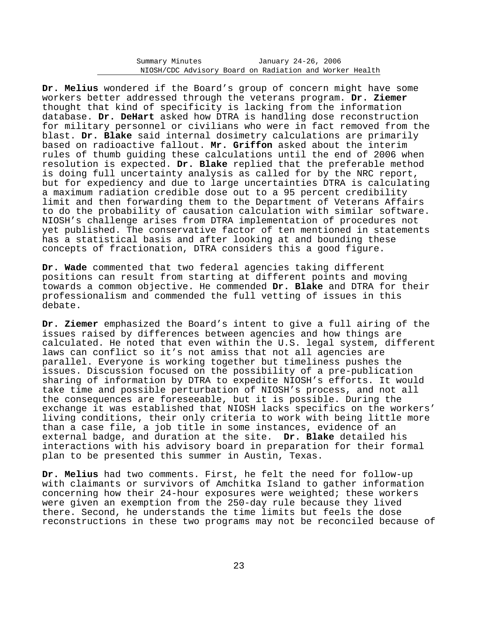**Dr. Melius** wondered if the Board's group of concern might have some workers better addressed through the veterans program. **Dr. Ziemer** thought that kind of specificity is lacking from the information database. **Dr. DeHart** asked how DTRA is handling dose reconstruction for military personnel or civilians who were in fact removed from the blast. **Dr. Blake** said internal dosimetry calculations are primarily based on radioactive fallout. **Mr. Griffon** asked about the interim rules of thumb guiding these calculations until the end of 2006 when resolution is expected. **Dr. Blake** replied that the preferable method is doing full uncertainty analysis as called for by the NRC report, but for expediency and due to large uncertainties DTRA is calculating a maximum radiation credible dose out to a 95 percent credibility limit and then forwarding them to the Department of Veterans Affairs to do the probability of causation calculation with similar software. NIOSH's challenge arises from DTRA implementation of procedures not yet published. The conservative factor of ten mentioned in statements has a statistical basis and after looking at and bounding these concepts of fractionation, DTRA considers this a good figure.

**Dr. Wade** commented that two federal agencies taking different positions can result from starting at different points and moving towards a common objective. He commended **Dr. Blake** and DTRA for their professionalism and commended the full vetting of issues in this debate.

**Dr. Ziemer** emphasized the Board's intent to give a full airing of the issues raised by differences between agencies and how things are calculated. He noted that even within the U.S. legal system, different laws can conflict so it's not amiss that not all agencies are parallel. Everyone is working together but timeliness pushes the issues. Discussion focused on the possibility of a pre-publication sharing of information by DTRA to expedite NIOSH's efforts. It would take time and possible perturbation of NIOSH's process, and not all the consequences are foreseeable, but it is possible. During the exchange it was established that NIOSH lacks specifics on the workers' living conditions, their only criteria to work with being little more than a case file, a job title in some instances, evidence of an external badge, and duration at the site. **Dr. Blake** detailed his interactions with his advisory board in preparation for their formal plan to be presented this summer in Austin, Texas.

**Dr. Melius** had two comments. First, he felt the need for follow-up with claimants or survivors of Amchitka Island to gather information concerning how their 24-hour exposures were weighted; these workers were given an exemption from the 250-day rule because they lived there. Second, he understands the time limits but feels the dose reconstructions in these two programs may not be reconciled because of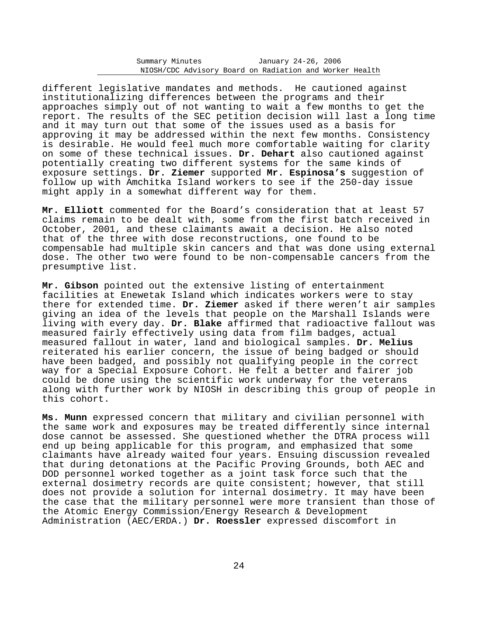different legislative mandates and methods. He cautioned against institutionalizing differences between the programs and their approaches simply out of not wanting to wait a few months to get the report. The results of the SEC petition decision will last a long time and it may turn out that some of the issues used as a basis for approving it may be addressed within the next few months. Consistency is desirable. He would feel much more comfortable waiting for clarity on some of these technical issues. **Dr. Dehart** also cautioned against potentially creating two different systems for the same kinds of exposure settings. **Dr. Ziemer** supported **Mr. Espinosa's** suggestion of follow up with Amchitka Island workers to see if the 250-day issue might apply in a somewhat different way for them.

**Mr. Elliott** commented for the Board's consideration that at least 57 claims remain to be dealt with, some from the first batch received in October, 2001, and these claimants await a decision. He also noted that of the three with dose reconstructions, one found to be compensable had multiple skin cancers and that was done using external dose. The other two were found to be non-compensable cancers from the presumptive list.

**Mr. Gibson** pointed out the extensive listing of entertainment facilities at Enewetak Island which indicates workers were to stay there for extended time. **Dr. Ziemer** asked if there weren't air samples giving an idea of the levels that people on the Marshall Islands were living with every day. **Dr. Blake** affirmed that radioactive fallout was measured fairly effectively using data from film badges, actual measured fallout in water, land and biological samples. **Dr. Melius** reiterated his earlier concern, the issue of being badged or should have been badged, and possibly not qualifying people in the correct way for a Special Exposure Cohort. He felt a better and fairer job could be done using the scientific work underway for the veterans along with further work by NIOSH in describing this group of people in this cohort.

**Ms. Munn** expressed concern that military and civilian personnel with the same work and exposures may be treated differently since internal dose cannot be assessed. She questioned whether the DTRA process will end up being applicable for this program, and emphasized that some claimants have already waited four years. Ensuing discussion revealed that during detonations at the Pacific Proving Grounds, both AEC and DOD personnel worked together as a joint task force such that the external dosimetry records are quite consistent; however, that still does not provide a solution for internal dosimetry. It may have been the case that the military personnel were more transient than those of the Atomic Energy Commission/Energy Research & Development Administration (AEC/ERDA.) **Dr. Roessler** expressed discomfort in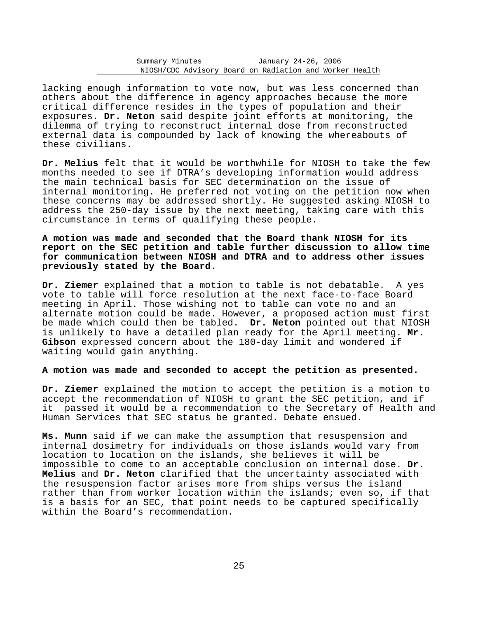lacking enough information to vote now, but was less concerned than others about the difference in agency approaches because the more critical difference resides in the types of population and their exposures. **Dr. Neton** said despite joint efforts at monitoring, the dilemma of trying to reconstruct internal dose from reconstructed external data is compounded by lack of knowing the whereabouts of these civilians.

**Dr. Melius** felt that it would be worthwhile for NIOSH to take the few months needed to see if DTRA's developing information would address the main technical basis for SEC determination on the issue of internal monitoring. He preferred not voting on the petition now when these concerns may be addressed shortly. He suggested asking NIOSH to address the 250-day issue by the next meeting, taking care with this circumstance in terms of qualifying these people.

# **A motion was made and seconded that the Board thank NIOSH for its report on the SEC petition and table further discussion to allow time for communication between NIOSH and DTRA and to address other issues previously stated by the Board.**

**Dr. Ziemer** explained that a motion to table is not debatable. A yes vote to table will force resolution at the next face-to-face Board meeting in April. Those wishing not to table can vote no and an alternate motion could be made. However, a proposed action must first be made which could then be tabled. **Dr. Neton** pointed out that NIOSH is unlikely to have a detailed plan ready for the April meeting. **Mr. Gibson** expressed concern about the 180-day limit and wondered if waiting would gain anything.

## **A motion was made and seconded to accept the petition as presented.**

**Dr. Ziemer** explained the motion to accept the petition is a motion to accept the recommendation of NIOSH to grant the SEC petition, and if it passed it would be a recommendation to the Secretary of Health and Human Services that SEC status be granted. Debate ensued.

**Ms. Munn** said if we can make the assumption that resuspension and internal dosimetry for individuals on those islands would vary from location to location on the islands, she believes it will be impossible to come to an acceptable conclusion on internal dose. **Dr. Melius** and **Dr. Neton** clarified that the uncertainty associated with the resuspension factor arises more from ships versus the island rather than from worker location within the islands; even so, if that is a basis for an SEC, that point needs to be captured specifically within the Board's recommendation.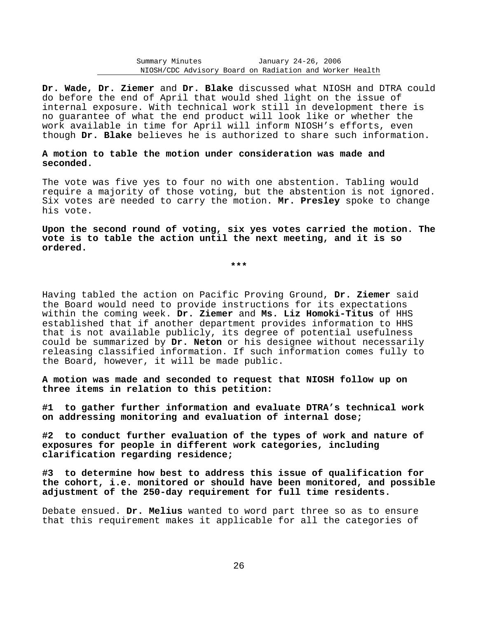**Dr. Wade, Dr. Ziemer** and **Dr. Blake** discussed what NIOSH and DTRA could do before the end of April that would shed light on the issue of internal exposure. With technical work still in development there is no guarantee of what the end product will look like or whether the work available in time for April will inform NIOSH's efforts, even though **Dr. Blake** believes he is authorized to share such information.

**A motion to table the motion under consideration was made and seconded.** 

The vote was five yes to four no with one abstention. Tabling would require a majority of those voting, but the abstention is not ignored. Six votes are needed to carry the motion. **Mr. Presley** spoke to change his vote.

**Upon the second round of voting, six yes votes carried the motion. The vote is to table the action until the next meeting, and it is so ordered.** 

**\*\*\*** 

Having tabled the action on Pacific Proving Ground, **Dr. Ziemer** said the Board would need to provide instructions for its expectations within the coming week. **Dr. Ziemer** and **Ms. Liz Homoki-Titus** of HHS established that if another department provides information to HHS that is not available publicly, its degree of potential usefulness could be summarized by **Dr. Neton** or his designee without necessarily releasing classified information. If such information comes fully to the Board, however, it will be made public.

**A motion was made and seconded to request that NIOSH follow up on three items in relation to this petition:** 

**#1 to gather further information and evaluate DTRA's technical work on addressing monitoring and evaluation of internal dose;** 

**#2 to conduct further evaluation of the types of work and nature of exposures for people in different work categories, including clarification regarding residence;** 

**#3 to determine how best to address this issue of qualification for the cohort, i.e. monitored or should have been monitored, and possible adjustment of the 250-day requirement for full time residents.** 

Debate ensued. **Dr. Melius** wanted to word part three so as to ensure that this requirement makes it applicable for all the categories of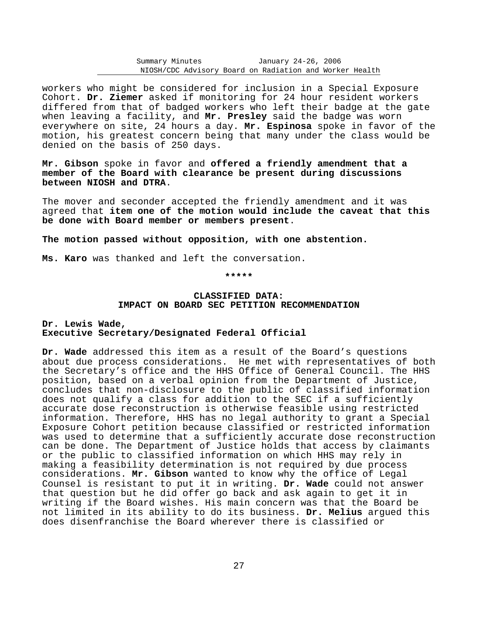workers who might be considered for inclusion in a Special Exposure Cohort. **Dr. Ziemer** asked if monitoring for 24 hour resident workers differed from that of badged workers who left their badge at the gate when leaving a facility, and **Mr. Presley** said the badge was worn everywhere on site, 24 hours a day. **Mr. Espinosa** spoke in favor of the motion, his greatest concern being that many under the class would be denied on the basis of 250 days.

**Mr. Gibson** spoke in favor and **offered a friendly amendment that a member of the Board with clearance be present during discussions between NIOSH and DTRA**.

The mover and seconder accepted the friendly amendment and it was agreed that **item one of the motion would include the caveat that this be done with Board member or members present**.

**The motion passed without opposition, with one abstention.** 

**Ms. Karo** was thanked and left the conversation.

#### **\*\*\*\*\***

## **CLASSIFIED DATA: IMPACT ON BOARD SEC PETITION RECOMMENDATION**

## **Dr. Lewis Wade, Executive Secretary/Designated Federal Official**

**Dr. Wade** addressed this item as a result of the Board's questions about due process considerations. He met with representatives of both the Secretary's office and the HHS Office of General Council. The HHS position, based on a verbal opinion from the Department of Justice, concludes that non-disclosure to the public of classified information does not qualify a class for addition to the SEC if a sufficiently accurate dose reconstruction is otherwise feasible using restricted information. Therefore, HHS has no legal authority to grant a Special Exposure Cohort petition because classified or restricted information was used to determine that a sufficiently accurate dose reconstruction can be done. The Department of Justice holds that access by claimants or the public to classified information on which HHS may rely in making a feasibility determination is not required by due process considerations. **Mr. Gibson** wanted to know why the office of Legal Counsel is resistant to put it in writing. **Dr. Wade** could not answer that question but he did offer go back and ask again to get it in writing if the Board wishes. His main concern was that the Board be not limited in its ability to do its business. **Dr. Melius** argued this does disenfranchise the Board wherever there is classified or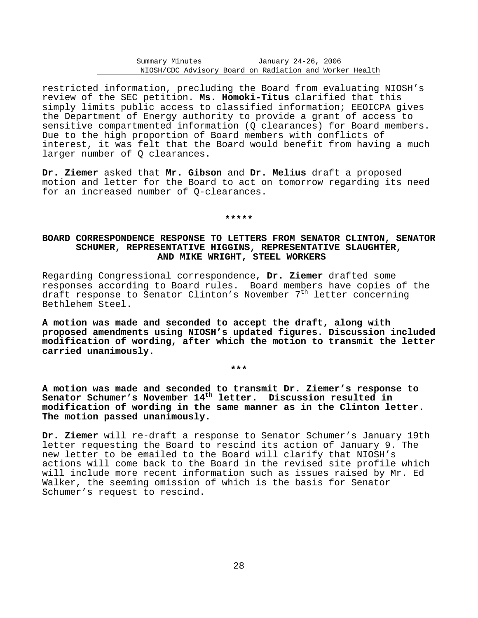restricted information, precluding the Board from evaluating NIOSH's review of the SEC petition. **Ms. Homoki-Titus** clarified that this simply limits public access to classified information; EEOICPA gives the Department of Energy authority to provide a grant of access to sensitive compartmented information (Q clearances) for Board members. Due to the high proportion of Board members with conflicts of interest, it was felt that the Board would benefit from having a much larger number of Q clearances.

**Dr. Ziemer** asked that **Mr. Gibson** and **Dr. Melius** draft a proposed motion and letter for the Board to act on tomorrow regarding its need for an increased number of Q-clearances.

## **\*\*\*\*\***

# **BOARD CORRESPONDENCE RESPONSE TO LETTERS FROM SENATOR CLINTON, SENATOR SCHUMER, REPRESENTATIVE HIGGINS, REPRESENTATIVE SLAUGHTER, AND MIKE WRIGHT, STEEL WORKERS**

Regarding Congressional correspondence, **Dr. Ziemer** drafted some responses according to Board rules. Board members have copies of the draft response to Senator Clinton's November  $7<sup>th</sup>$  letter concerning Bethlehem Steel.

**A motion was made and seconded to accept the draft, along with proposed amendments using NIOSH's updated figures. Discussion included modification of wording, after which the motion to transmit the letter carried unanimously**.

**\*\*\*** 

**A motion was made and seconded to transmit Dr. Ziemer's response to** Senator Schumer's November 14<sup>th</sup> letter. Discussion resulted in **modification of wording in the same manner as in the Clinton letter. The motion passed unanimously.** 

**Dr. Ziemer** will re-draft a response to Senator Schumer's January 19th letter requesting the Board to rescind its action of January 9. The new letter to be emailed to the Board will clarify that NIOSH's actions will come back to the Board in the revised site profile which will include more recent information such as issues raised by Mr. Ed Walker, the seeming omission of which is the basis for Senator Schumer's request to rescind.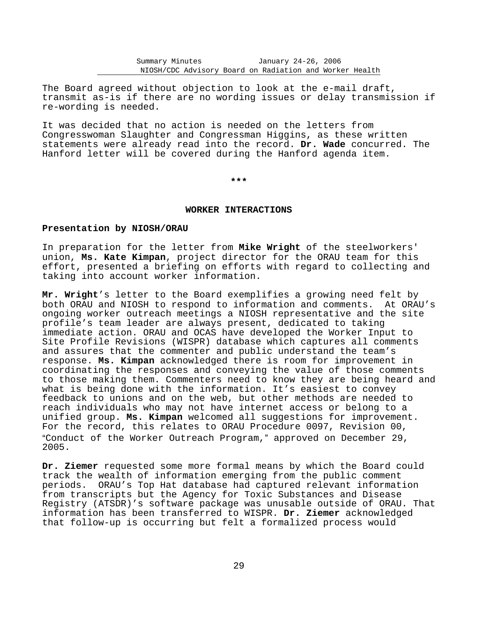The Board agreed without objection to look at the e-mail draft, transmit as-is if there are no wording issues or delay transmission if re-wording is needed.

It was decided that no action is needed on the letters from Congresswoman Slaughter and Congressman Higgins, as these written statements were already read into the record. **Dr. Wade** concurred. The Hanford letter will be covered during the Hanford agenda item.

**\*\*\*** 

## **WORKER INTERACTIONS**

## **Presentation by NIOSH/ORAU**

In preparation for the letter from **Mike Wright** of the steelworkers' union, **Ms. Kate Kimpan**, project director for the ORAU team for this effort, presented a briefing on efforts with regard to collecting and taking into account worker information.

**Mr. Wright**'s letter to the Board exemplifies a growing need felt by both ORAU and NIOSH to respond to information and comments. At ORAU's ongoing worker outreach meetings a NIOSH representative and the site profile's team leader are always present, dedicated to taking immediate action. ORAU and OCAS have developed the Worker Input to Site Profile Revisions (WISPR) database which captures all comments and assures that the commenter and public understand the team's response. **Ms. Kimpan** acknowledged there is room for improvement in coordinating the responses and conveying the value of those comments to those making them. Commenters need to know they are being heard and what is being done with the information. It's easiest to convey feedback to unions and on the web, but other methods are needed to reach individuals who may not have internet access or belong to a unified group. **Ms. Kimpan** welcomed all suggestions for improvement. For the record, this relates to ORAU Procedure 0097, Revision 00, "Conduct of the Worker Outreach Program," approved on December 29, 2005.

**Dr. Ziemer** requested some more formal means by which the Board could track the wealth of information emerging from the public comment periods. ORAU's Top Hat database had captured relevant information from transcripts but the Agency for Toxic Substances and Disease Registry (ATSDR)'s software package was unusable outside of ORAU. That information has been transferred to WISPR. **Dr. Ziemer** acknowledged that follow-up is occurring but felt a formalized process would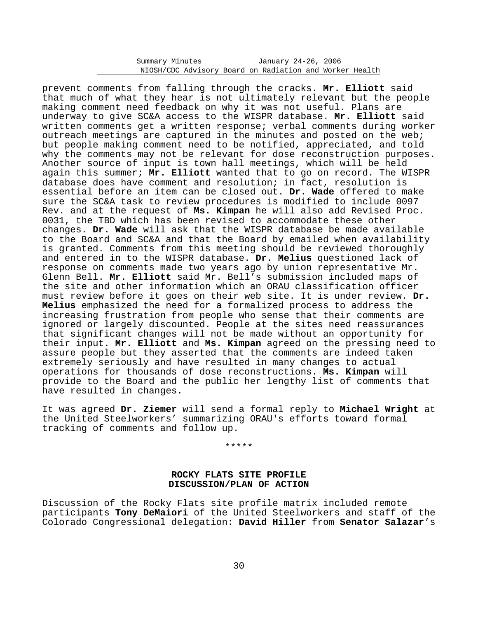prevent comments from falling through the cracks. **Mr. Elliott** said that much of what they hear is not ultimately relevant but the people making comment need feedback on why it was not useful. Plans are underway to give SC&A access to the WISPR database. **Mr. Elliott** said written comments get a written response; verbal comments during worker outreach meetings are captured in the minutes and posted on the web; but people making comment need to be notified, appreciated, and told why the comments may not be relevant for dose reconstruction purposes. Another source of input is town hall meetings, which will be held again this summer; **Mr. Elliott** wanted that to go on record. The WISPR database does have comment and resolution; in fact, resolution is essential before an item can be closed out. **Dr. Wade** offered to make sure the SC&A task to review procedures is modified to include 0097 Rev. and at the request of **Ms. Kimpan** he will also add Revised Proc. 0031, the TBD which has been revised to accommodate these other changes. **Dr. Wade** will ask that the WISPR database be made available to the Board and SC&A and that the Board by emailed when availability is granted. Comments from this meeting should be reviewed thoroughly and entered in to the WISPR database. **Dr. Melius** questioned lack of response on comments made two years ago by union representative Mr. Glenn Bell. **Mr. Elliott** said Mr. Bell's submission included maps of the site and other information which an ORAU classification officer must review before it goes on their web site. It is under review. **Dr. Melius** emphasized the need for a formalized process to address the increasing frustration from people who sense that their comments are ignored or largely discounted. People at the sites need reassurances that significant changes will not be made without an opportunity for their input. **Mr. Elliott** and **Ms. Kimpan** agreed on the pressing need to assure people but they asserted that the comments are indeed taken extremely seriously and have resulted in many changes to actual operations for thousands of dose reconstructions. **Ms. Kimpan** will provide to the Board and the public her lengthy list of comments that have resulted in changes.

It was agreed **Dr. Ziemer** will send a formal reply to **Michael Wright** at the United Steelworkers' summarizing ORAU's efforts toward formal tracking of comments and follow up.

\*\*\*\*\*

## **ROCKY FLATS SITE PROFILE DISCUSSION/PLAN OF ACTION**

Discussion of the Rocky Flats site profile matrix included remote participants **Tony DeMaiori** of the United Steelworkers and staff of the Colorado Congressional delegation: **David Hiller** from **Senator Salazar**'s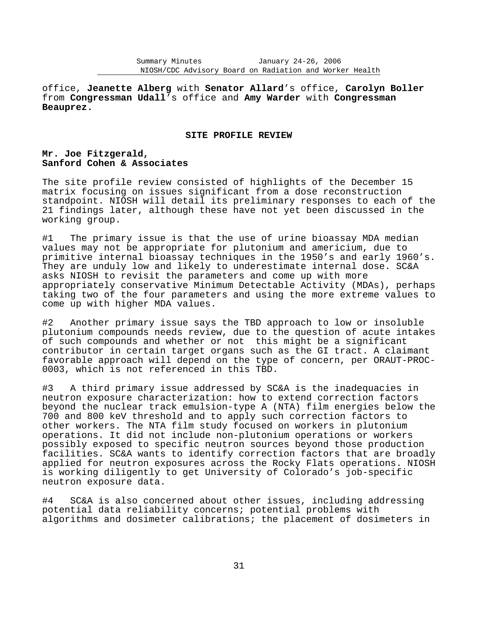office, **Jeanette Alberg** with **Senator Allard**'s office, **Carolyn Boller** from **Congressman Udall**'s office and **Amy Warder** with **Congressman Beauprez.** 

#### **SITE PROFILE REVIEW**

## **Mr. Joe Fitzgerald, Sanford Cohen & Associates**

The site profile review consisted of highlights of the December 15 matrix focusing on issues significant from a dose reconstruction standpoint. NIOSH will detail its preliminary responses to each of the 21 findings later, although these have not yet been discussed in the working group.

#1 The primary issue is that the use of urine bioassay MDA median values may not be appropriate for plutonium and americium, due to primitive internal bioassay techniques in the 1950's and early 1960's. They are unduly low and likely to underestimate internal dose. SC&A asks NIOSH to revisit the parameters and come up with more appropriately conservative Minimum Detectable Activity (MDAs), perhaps taking two of the four parameters and using the more extreme values to come up with higher MDA values.

#2 Another primary issue says the TBD approach to low or insoluble plutonium compounds needs review, due to the question of acute intakes of such compounds and whether or not this might be a significant contributor in certain target organs such as the GI tract. A claimant favorable approach will depend on the type of concern, per ORAUT-PROC-0003, which is not referenced in this TBD.

#3 A third primary issue addressed by SC&A is the inadequacies in neutron exposure characterization: how to extend correction factors beyond the nuclear track emulsion-type A (NTA) film energies below the 700 and 800 keV threshold and to apply such correction factors to other workers. The NTA film study focused on workers in plutonium operations. It did not include non-plutonium operations or workers possibly exposed to specific neutron sources beyond those production facilities. SC&A wants to identify correction factors that are broadly applied for neutron exposures across the Rocky Flats operations. NIOSH is working diligently to get University of Colorado's job-specific neutron exposure data.

#4 SC&A is also concerned about other issues, including addressing potential data reliability concerns; potential problems with algorithms and dosimeter calibrations; the placement of dosimeters in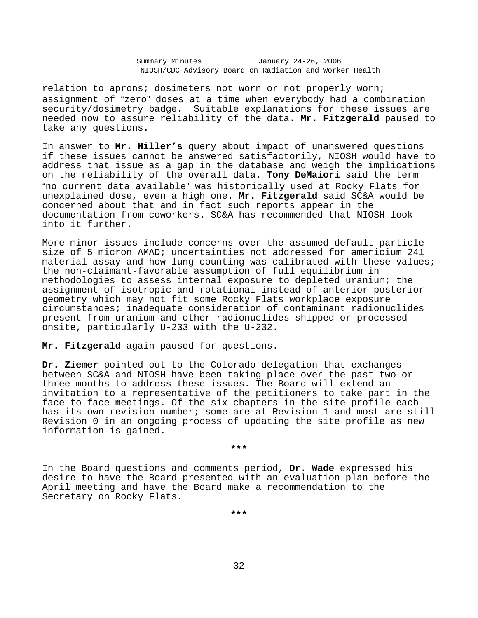relation to aprons; dosimeters not worn or not properly worn; assignment of "zero" doses at a time when everybody had a combination security/dosimetry badge. Suitable explanations for these issues are needed now to assure reliability of the data. **Mr. Fitzgerald** paused to take any questions.

In answer to **Mr. Hiller's** query about impact of unanswered questions if these issues cannot be answered satisfactorily, NIOSH would have to address that issue as a gap in the database and weigh the implications on the reliability of the overall data. **Tony DeMaiori** said the term "no current data available" was historically used at Rocky Flats for unexplained dose, even a high one. **Mr. Fitzgerald** said SC&A would be concerned about that and in fact such reports appear in the documentation from coworkers. SC&A has recommended that NIOSH look into it further.

More minor issues include concerns over the assumed default particle size of 5 micron AMAD; uncertainties not addressed for americium 241 material assay and how lung counting was calibrated with these values; the non-claimant-favorable assumption of full equilibrium in methodologies to assess internal exposure to depleted uranium; the assignment of isotropic and rotational instead of anterior-posterior geometry which may not fit some Rocky Flats workplace exposure circumstances; inadequate consideration of contaminant radionuclides present from uranium and other radionuclides shipped or processed onsite, particularly U-233 with the U-232.

**Mr. Fitzgerald** again paused for questions.

**Dr. Ziemer** pointed out to the Colorado delegation that exchanges between SC&A and NIOSH have been taking place over the past two or three months to address these issues. The Board will extend an invitation to a representative of the petitioners to take part in the face-to-face meetings. Of the six chapters in the site profile each has its own revision number; some are at Revision 1 and most are still Revision 0 in an ongoing process of updating the site profile as new information is gained.

**\*\*\*** 

In the Board questions and comments period, **Dr. Wade** expressed his desire to have the Board presented with an evaluation plan before the April meeting and have the Board make a recommendation to the Secretary on Rocky Flats.

**\*\*\***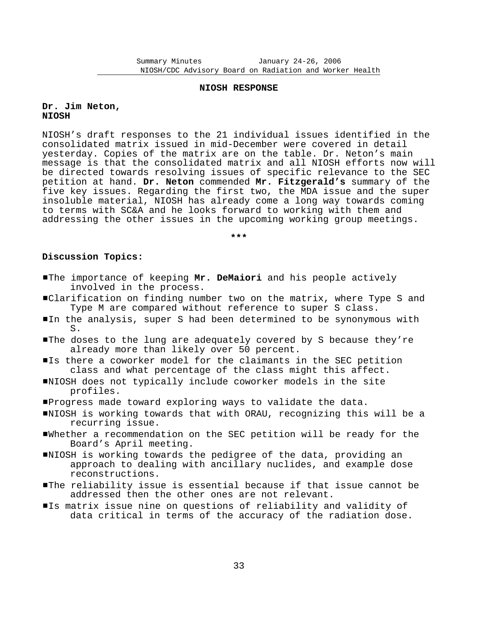#### **NIOSH RESPONSE**

## **Dr. Jim Neton, NIOSH**

NIOSH's draft responses to the 21 individual issues identified in the consolidated matrix issued in mid-December were covered in detail yesterday. Copies of the matrix are on the table. Dr. Neton's main message is that the consolidated matrix and all NIOSH efforts now will be directed towards resolving issues of specific relevance to the SEC petition at hand. **Dr. Neton** commended **Mr. Fitzgerald's** summary of the five key issues. Regarding the first two, the MDA issue and the super insoluble material, NIOSH has already come a long way towards coming to terms with SC&A and he looks forward to working with them and addressing the other issues in the upcoming working group meetings.

**\*\*\*** 

## **Discussion Topics:**

- **IThe importance of keeping Mr. DeMaiori** and his people actively involved in the process.
- #Clarification on finding number two on the matrix, where Type S and Type M are compared without reference to super S class.
- In the analysis, super S had been determined to be synonymous with S.
- The doses to the lung are adequately covered by S because they're already more than likely over 50 percent.
- Is there a coworker model for the claimants in the SEC petition class and what percentage of the class might this affect.
- #NIOSH does not typically include coworker models in the site profiles.
- #Progress made toward exploring ways to validate the data.
- $\blacksquare$ NIOSH is working towards that with ORAU, recognizing this will be a recurring issue.
- #Whether a recommendation on the SEC petition will be ready for the Board's April meeting.
- #NIOSH is working towards the pedigree of the data, providing an approach to dealing with ancillary nuclides, and example dose reconstructions.
- #The reliability issue is essential because if that issue cannot be addressed then the other ones are not relevant.
- Is matrix issue nine on questions of reliability and validity of data critical in terms of the accuracy of the radiation dose.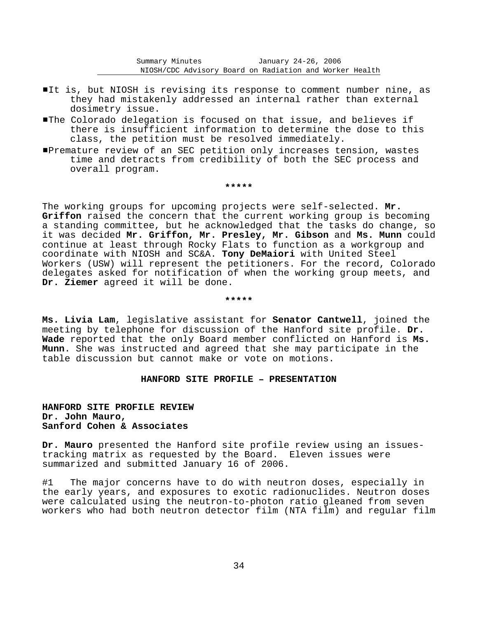- It is, but NIOSH is revising its response to comment number nine, as they had mistakenly addressed an internal rather than external dosimetry issue.
- **The Colorado delegation is focused on that issue, and believes if** there is insufficient information to determine the dose to this class, the petition must be resolved immediately.
- #Premature review of an SEC petition only increases tension, wastes time and detracts from credibility of both the SEC process and overall program.

#### **\*\*\*\*\***

The working groups for upcoming projects were self-selected. **Mr. Griffon** raised the concern that the current working group is becoming a standing committee, but he acknowledged that the tasks do change, so it was decided **Mr. Griffon, Mr. Presley, Mr. Gibson** and **Ms. Munn** could continue at least through Rocky Flats to function as a workgroup and coordinate with NIOSH and SC&A. **Tony DeMaiori** with United Steel Workers (USW) will represent the petitioners. For the record, Colorado delegates asked for notification of when the working group meets, and **Dr. Ziemer** agreed it will be done.

#### **\*\*\*\*\***

**Ms. Livia Lam**, legislative assistant for **Senator Cantwell**, joined the meeting by telephone for discussion of the Hanford site profile. **Dr. Wade** reported that the only Board member conflicted on Hanford is **Ms. Munn**. She was instructed and agreed that she may participate in the table discussion but cannot make or vote on motions.

## **HANFORD SITE PROFILE - PRESENTATION**

# **HANFORD SITE PROFILE REVIEW Dr. John Mauro, Sanford Cohen & Associates**

**Dr. Mauro** presented the Hanford site profile review using an issues tracking matrix as requested by the Board. Eleven issues were summarized and submitted January 16 of 2006.

#1 The major concerns have to do with neutron doses, especially in the early years, and exposures to exotic radionuclides. Neutron doses were calculated using the neutron-to-photon ratio gleaned from seven workers who had both neutron detector film (NTA film) and regular film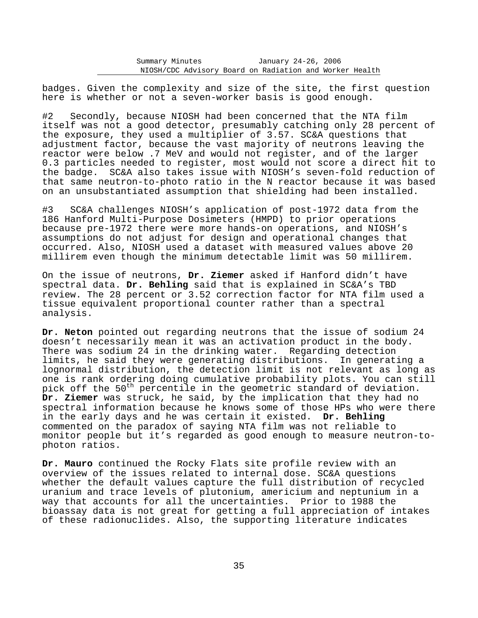badges. Given the complexity and size of the site, the first question here is whether or not a seven-worker basis is good enough.

#2 Secondly, because NIOSH had been concerned that the NTA film itself was not a good detector, presumably catching only 28 percent of the exposure, they used a multiplier of 3.57. SC&A questions that adjustment factor, because the vast majority of neutrons leaving the reactor were below .7 MeV and would not register, and of the larger 0.3 particles needed to register, most would not score a direct hit to the badge. SC&A also takes issue with NIOSH's seven-fold reduction of that same neutron-to-photo ratio in the N reactor because it was based on an unsubstantiated assumption that shielding had been installed.

#3 SC&A challenges NIOSH's application of post-1972 data from the 186 Hanford Multi-Purpose Dosimeters (HMPD) to prior operations because pre-1972 there were more hands-on operations, and NIOSH's assumptions do not adjust for design and operational changes that occurred. Also, NIOSH used a dataset with measured values above 20 millirem even though the minimum detectable limit was 50 millirem.

On the issue of neutrons, **Dr. Ziemer** asked if Hanford didn't have spectral data. **Dr. Behling** said that is explained in SC&A's TBD review. The 28 percent or 3.52 correction factor for NTA film used a tissue equivalent proportional counter rather than a spectral analysis.

**Dr. Neton** pointed out regarding neutrons that the issue of sodium 24 doesn't necessarily mean it was an activation product in the body. There was sodium 24 in the drinking water. Regarding detection limits, he said they were generating distributions. In generating a lognormal distribution, the detection limit is not relevant as long as one is rank ordering doing cumulative probability plots. You can still pick off the 50<sup>th</sup> percentile in the geometric standard of deviation. **Dr. Ziemer** was struck, he said, by the implication that they had no spectral information because he knows some of those HPs who were there in the early days and he was certain it existed. **Dr. Behling** commented on the paradox of saying NTA film was not reliable to monitor people but it's regarded as good enough to measure neutron-tophoton ratios.

**Dr. Mauro** continued the Rocky Flats site profile review with an overview of the issues related to internal dose. SC&A questions whether the default values capture the full distribution of recycled uranium and trace levels of plutonium, americium and neptunium in a way that accounts for all the uncertainties. Prior to 1988 the bioassay data is not great for getting a full appreciation of intakes of these radionuclides. Also, the supporting literature indicates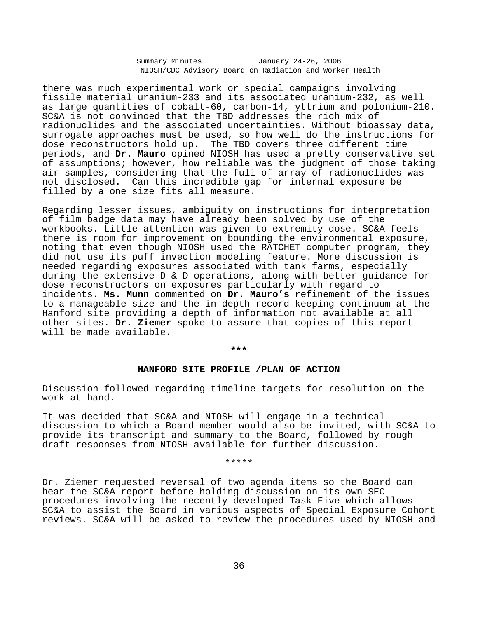there was much experimental work or special campaigns involving fissile material uranium-233 and its associated uranium-232, as well as large quantities of cobalt-60, carbon-14, yttrium and polonium-210. SC&A is not convinced that the TBD addresses the rich mix of radionuclides and the associated uncertainties. Without bioassay data, surrogate approaches must be used, so how well do the instructions for dose reconstructors hold up. The TBD covers three different time periods, and **Dr. Mauro** opined NIOSH has used a pretty conservative set of assumptions; however, how reliable was the judgment of those taking air samples, considering that the full of array of radionuclides was not disclosed. Can this incredible gap for internal exposure be filled by a one size fits all measure.

Regarding lesser issues, ambiguity on instructions for interpretation of film badge data may have already been solved by use of the workbooks. Little attention was given to extremity dose. SC&A feels there is room for improvement on bounding the environmental exposure, noting that even though NIOSH used the RATCHET computer program, they did not use its puff invection modeling feature. More discussion is needed regarding exposures associated with tank farms, especially during the extensive D & D operations, along with better guidance for dose reconstructors on exposures particularly with regard to incidents. **Ms. Munn** commented on **Dr. Mauro's** refinement of the issues to a manageable size and the in-depth record-keeping continuum at the Hanford site providing a depth of information not available at all other sites. **Dr. Ziemer** spoke to assure that copies of this report will be made available.

**\*\*\*** 

## **HANFORD SITE PROFILE /PLAN OF ACTION**

Discussion followed regarding timeline targets for resolution on the work at hand.

It was decided that SC&A and NIOSH will engage in a technical discussion to which a Board member would also be invited, with SC&A to provide its transcript and summary to the Board, followed by rough draft responses from NIOSH available for further discussion.

\*\*\*\*\*

Dr. Ziemer requested reversal of two agenda items so the Board can hear the SC&A report before holding discussion on its own SEC procedures involving the recently developed Task Five which allows SC&A to assist the Board in various aspects of Special Exposure Cohort reviews. SC&A will be asked to review the procedures used by NIOSH and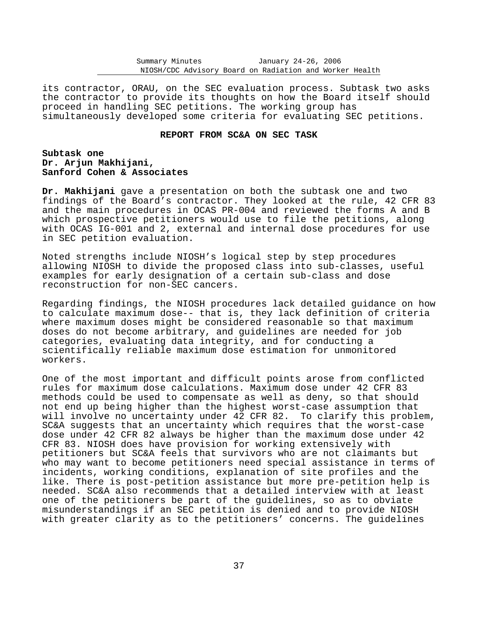its contractor, ORAU, on the SEC evaluation process. Subtask two asks the contractor to provide its thoughts on how the Board itself should proceed in handling SEC petitions. The working group has simultaneously developed some criteria for evaluating SEC petitions.

## **REPORT FROM SC&A ON SEC TASK**

# **Subtask one Dr. Arjun Makhijani, Sanford Cohen & Associates**

**Dr. Makhijani** gave a presentation on both the subtask one and two findings of the Board's contractor. They looked at the rule, 42 CFR 83 and the main procedures in OCAS PR-004 and reviewed the forms A and B which prospective petitioners would use to file the petitions, along with OCAS IG-001 and 2, external and internal dose procedures for use in SEC petition evaluation.

Noted strengths include NIOSH's logical step by step procedures allowing NIOSH to divide the proposed class into sub-classes, useful examples for early designation of a certain sub-class and dose reconstruction for non-SEC cancers.

Regarding findings, the NIOSH procedures lack detailed guidance on how to calculate maximum dose-- that is, they lack definition of criteria where maximum doses might be considered reasonable so that maximum doses do not become arbitrary, and guidelines are needed for job categories, evaluating data integrity, and for conducting a scientifically reliable maximum dose estimation for unmonitored workers.

One of the most important and difficult points arose from conflicted rules for maximum dose calculations. Maximum dose under 42 CFR 83 methods could be used to compensate as well as deny, so that should not end up being higher than the highest worst-case assumption that will involve no uncertainty under 42 CFR 82. To clarify this problem, SC&A suggests that an uncertainty which requires that the worst-case dose under 42 CFR 82 always be higher than the maximum dose under 42 CFR 83. NIOSH does have provision for working extensively with petitioners but SC&A feels that survivors who are not claimants but who may want to become petitioners need special assistance in terms of incidents, working conditions, explanation of site profiles and the like. There is post-petition assistance but more pre-petition help is needed. SC&A also recommends that a detailed interview with at least one of the petitioners be part of the guidelines, so as to obviate misunderstandings if an SEC petition is denied and to provide NIOSH with greater clarity as to the petitioners' concerns. The guidelines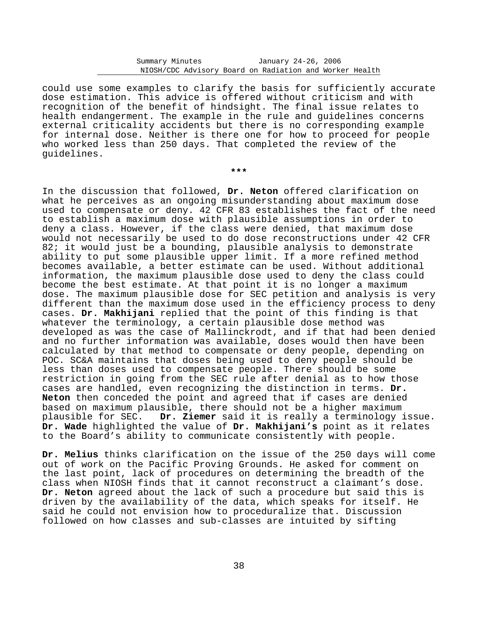could use some examples to clarify the basis for sufficiently accurate dose estimation. This advice is offered without criticism and with recognition of the benefit of hindsight. The final issue relates to health endangerment. The example in the rule and guidelines concerns external criticality accidents but there is no corresponding example for internal dose. Neither is there one for how to proceed for people who worked less than 250 days. That completed the review of the guidelines.

**\*\*\*** 

In the discussion that followed, **Dr. Neton** offered clarification on what he perceives as an ongoing misunderstanding about maximum dose used to compensate or deny. 42 CFR 83 establishes the fact of the need to establish a maximum dose with plausible assumptions in order to deny a class. However, if the class were denied, that maximum dose would not necessarily be used to do dose reconstructions under 42 CFR 82; it would just be a bounding, plausible analysis to demonstrate ability to put some plausible upper limit. If a more refined method becomes available, a better estimate can be used. Without additional information, the maximum plausible dose used to deny the class could become the best estimate. At that point it is no longer a maximum dose. The maximum plausible dose for SEC petition and analysis is very different than the maximum dose used in the efficiency process to deny cases. **Dr. Makhijani** replied that the point of this finding is that whatever the terminology, a certain plausible dose method was developed as was the case of Mallinckrodt, and if that had been denied and no further information was available, doses would then have been calculated by that method to compensate or deny people, depending on POC. SC&A maintains that doses being used to deny people should be less than doses used to compensate people. There should be some restriction in going from the SEC rule after denial as to how those cases are handled, even recognizing the distinction in terms. **Dr. Neton** then conceded the point and agreed that if cases are denied based on maximum plausible, there should not be a higher maximum plausible for SEC. **Dr. Ziemer** said it is really a terminology issue. **Dr. Wade** highlighted the value of **Dr. Makhijani's** point as it relates to the Board's ability to communicate consistently with people.

**Dr. Melius** thinks clarification on the issue of the 250 days will come out of work on the Pacific Proving Grounds. He asked for comment on the last point, lack of procedures on determining the breadth of the class when NIOSH finds that it cannot reconstruct a claimant's dose. **Dr. Neton** agreed about the lack of such a procedure but said this is driven by the availability of the data, which speaks for itself. He said he could not envision how to proceduralize that. Discussion followed on how classes and sub-classes are intuited by sifting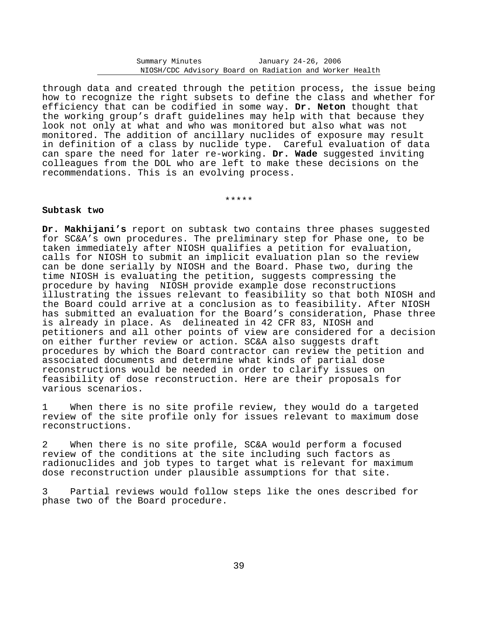through data and created through the petition process, the issue being how to recognize the right subsets to define the class and whether for efficiency that can be codified in some way. **Dr. Neton** thought that the working group's draft guidelines may help with that because they look not only at what and who was monitored but also what was not monitored. The addition of ancillary nuclides of exposure may result in definition of a class by nuclide type. Careful evaluation of data can spare the need for later re-working. **Dr. Wade** suggested inviting colleagues from the DOL who are left to make these decisions on the recommendations. This is an evolving process.

\*\*\*\*\*

## **Subtask two**

**Dr. Makhijani's** report on subtask two contains three phases suggested for SC&A's own procedures. The preliminary step for Phase one, to be taken immediately after NIOSH qualifies a petition for evaluation, calls for NIOSH to submit an implicit evaluation plan so the review can be done serially by NIOSH and the Board. Phase two, during the time NIOSH is evaluating the petition, suggests compressing the procedure by having NIOSH provide example dose reconstructions illustrating the issues relevant to feasibility so that both NIOSH and the Board could arrive at a conclusion as to feasibility. After NIOSH has submitted an evaluation for the Board's consideration, Phase three is already in place. As delineated in 42 CFR 83, NIOSH and petitioners and all other points of view are considered for a decision on either further review or action. SC&A also suggests draft procedures by which the Board contractor can review the petition and associated documents and determine what kinds of partial dose reconstructions would be needed in order to clarify issues on feasibility of dose reconstruction. Here are their proposals for various scenarios.

1 When there is no site profile review, they would do a targeted review of the site profile only for issues relevant to maximum dose reconstructions.

2 When there is no site profile, SC&A would perform a focused review of the conditions at the site including such factors as radionuclides and job types to target what is relevant for maximum dose reconstruction under plausible assumptions for that site.

3 Partial reviews would follow steps like the ones described for phase two of the Board procedure.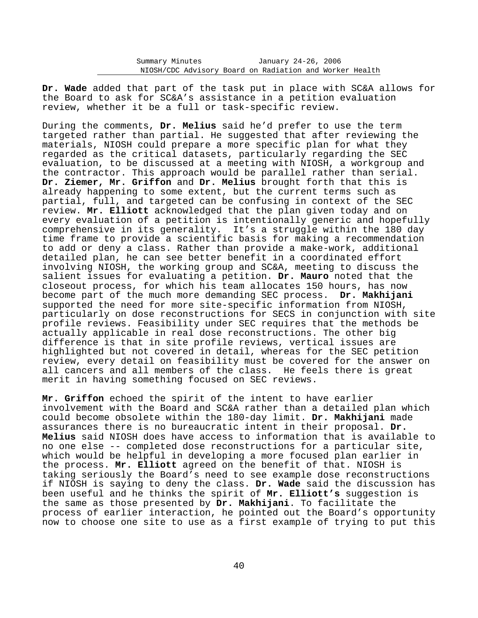**Dr. Wade** added that part of the task put in place with SC&A allows for the Board to ask for SC&A's assistance in a petition evaluation review, whether it be a full or task-specific review.

During the comments, **Dr. Melius** said he'd prefer to use the term targeted rather than partial. He suggested that after reviewing the materials, NIOSH could prepare a more specific plan for what they regarded as the critical datasets, particularly regarding the SEC evaluation, to be discussed at a meeting with NIOSH, a workgroup and the contractor. This approach would be parallel rather than serial. **Dr. Ziemer, Mr. Griffon** and **Dr. Melius** brought forth that this is already happening to some extent, but the current terms such as partial, full, and targeted can be confusing in context of the SEC review. **Mr. Elliott** acknowledged that the plan given today and on every evaluation of a petition is intentionally generic and hopefully comprehensive in its generality. It's a struggle within the 180 day time frame to provide a scientific basis for making a recommendation to add or deny a class. Rather than provide a make-work, additional detailed plan, he can see better benefit in a coordinated effort involving NIOSH, the working group and SC&A, meeting to discuss the salient issues for evaluating a petition. **Dr. Mauro** noted that the closeout process, for which his team allocates 150 hours, has now become part of the much more demanding SEC process. **Dr. Makhijani** supported the need for more site-specific information from NIOSH, particularly on dose reconstructions for SECS in conjunction with site profile reviews. Feasibility under SEC requires that the methods be actually applicable in real dose reconstructions. The other big difference is that in site profile reviews, vertical issues are highlighted but not covered in detail, whereas for the SEC petition review, every detail on feasibility must be covered for the answer on all cancers and all members of the class. He feels there is great merit in having something focused on SEC reviews.

**Mr. Griffon** echoed the spirit of the intent to have earlier involvement with the Board and SC&A rather than a detailed plan which could become obsolete within the 180-day limit. **Dr. Makhijani** made assurances there is no bureaucratic intent in their proposal. **Dr. Melius** said NIOSH does have access to information that is available to no one else -- completed dose reconstructions for a particular site, which would be helpful in developing a more focused plan earlier in the process. **Mr. Elliott** agreed on the benefit of that. NIOSH is taking seriously the Board's need to see example dose reconstructions if NIOSH is saying to deny the class. **Dr. Wade** said the discussion has been useful and he thinks the spirit of **Mr. Elliott's** suggestion is the same as those presented by **Dr. Makhijani**. To facilitate the process of earlier interaction, he pointed out the Board's opportunity now to choose one site to use as a first example of trying to put this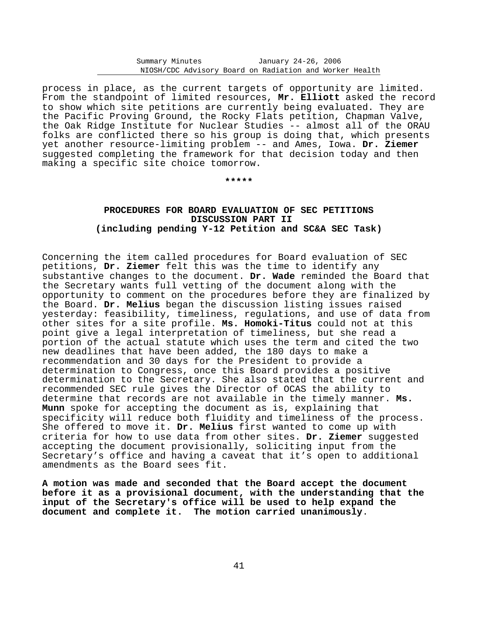process in place, as the current targets of opportunity are limited. From the standpoint of limited resources, **Mr. Elliott** asked the record to show which site petitions are currently being evaluated. They are the Pacific Proving Ground, the Rocky Flats petition, Chapman Valve, the Oak Ridge Institute for Nuclear Studies -- almost all of the ORAU folks are conflicted there so his group is doing that, which presents yet another resource-limiting problem -- and Ames, Iowa. **Dr. Ziemer** suggested completing the framework for that decision today and then making a specific site choice tomorrow.

**\*\*\*\*\*** 

# **PROCEDURES FOR BOARD EVALUATION OF SEC PETITIONS DISCUSSION PART II (including pending Y-12 Petition and SC&A SEC Task)**

Concerning the item called procedures for Board evaluation of SEC petitions, **Dr. Ziemer** felt this was the time to identify any substantive changes to the document. **Dr. Wade** reminded the Board that the Secretary wants full vetting of the document along with the opportunity to comment on the procedures before they are finalized by the Board. **Dr. Melius** began the discussion listing issues raised yesterday: feasibility, timeliness, regulations, and use of data from other sites for a site profile. **Ms. Homoki-Titus** could not at this point give a legal interpretation of timeliness, but she read a portion of the actual statute which uses the term and cited the two new deadlines that have been added, the 180 days to make a recommendation and 30 days for the President to provide a determination to Congress, once this Board provides a positive determination to the Secretary. She also stated that the current and recommended SEC rule gives the Director of OCAS the ability to determine that records are not available in the timely manner. **Ms. Munn** spoke for accepting the document as is, explaining that specificity will reduce both fluidity and timeliness of the process. She offered to move it. **Dr. Melius** first wanted to come up with criteria for how to use data from other sites. **Dr. Ziemer** suggested accepting the document provisionally, soliciting input from the Secretary's office and having a caveat that it's open to additional amendments as the Board sees fit.

**A motion was made and seconded that the Board accept the document before it as a provisional document, with the understanding that the input of the Secretary's office will be used to help expand the document and complete it. The motion carried unanimously**.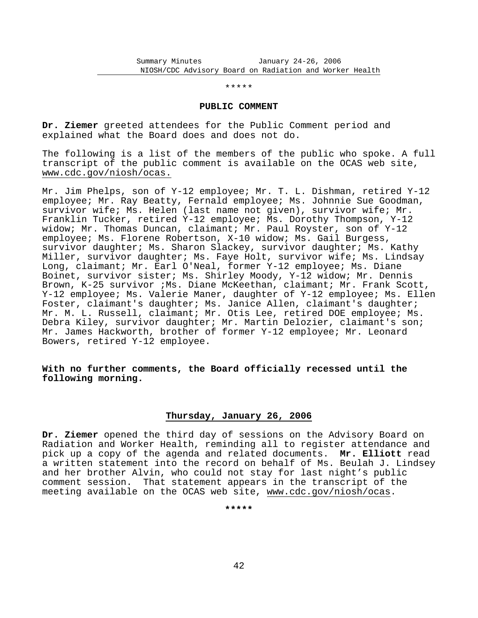#### \*\*\*\*\*

#### **PUBLIC COMMENT**

**Dr. Ziemer** greeted attendees for the Public Comment period and explained what the Board does and does not do.

The following is a list of the members of the public who spoke. A full transcript of the public comment is available on the OCAS web site, www.cdc.gov/niosh/ocas.

Mr. Jim Phelps, son of Y-12 employee; Mr. T. L. Dishman, retired Y-12 employee; Mr. Ray Beatty, Fernald employee; Ms. Johnnie Sue Goodman, survivor wife; Ms. Helen (last name not given), survivor wife; Mr. Franklin Tucker, retired Y-12 employee; Ms. Dorothy Thompson, Y-12 widow; Mr. Thomas Duncan, claimant; Mr. Paul Royster, son of Y-12 employee; Ms. Florene Robertson, X-10 widow; Ms. Gail Burgess, survivor daughter; Ms. Sharon Slackey, survivor daughter; Ms. Kathy Miller, survivor daughter; Ms. Faye Holt, survivor wife; Ms. Lindsay Long, claimant; Mr. Earl O'Neal, former Y-12 employee; Ms. Diane Boinet, survivor sister; Ms. Shirley Moody, Y-12 widow; Mr. Dennis Brown, K-25 survivor ;Ms. Diane McKeethan, claimant; Mr. Frank Scott, Y-12 employee; Ms. Valerie Maner, daughter of Y-12 employee; Ms. Ellen Foster, claimant's daughter; Ms. Janice Allen, claimant's daughter; Mr. M. L. Russell, claimant; Mr. Otis Lee, retired DOE employee; Ms. Debra Kiley, survivor daughter; Mr. Martin Delozier, claimant's son; Mr. James Hackworth, brother of former Y-12 employee; Mr. Leonard Bowers, retired Y-12 employee.

# **With no further comments, the Board officially recessed until the following morning.**

## **Thursday, January 26, 2006**

**Dr. Ziemer** opened the third day of sessions on the Advisory Board on Radiation and Worker Health, reminding all to register attendance and pick up a copy of the agenda and related documents. **Mr. Elliott** read a written statement into the record on behalf of Ms. Beulah J. Lindsey and her brother Alvin, who could not stay for last night's public comment session. That statement appears in the transcript of the meeting available on the OCAS web site, www.cdc.gov/niosh/ocas.

**\*\*\*\*\***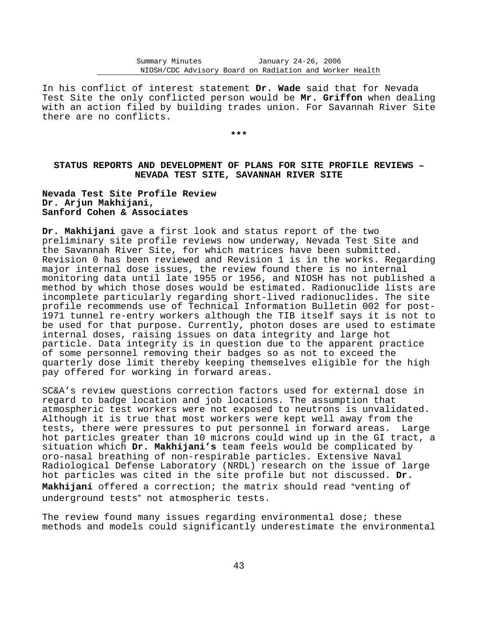In his conflict of interest statement **Dr. Wade** said that for Nevada Test Site the only conflicted person would be **Mr. Griffon** when dealing with an action filed by building trades union. For Savannah River Site there are no conflicts.

**\*\*\*** 

# **STATUS REPORTS AND DEVELOPMENT OF PLANS FOR SITE PROFILE REVIEWS** B **NEVADA TEST SITE, SAVANNAH RIVER SITE**

**Nevada Test Site Profile Review Dr. Arjun Makhijani, Sanford Cohen & Associates** 

**Dr. Makhijani** gave a first look and status report of the two preliminary site profile reviews now underway, Nevada Test Site and the Savannah River Site, for which matrices have been submitted. Revision 0 has been reviewed and Revision 1 is in the works. Regarding major internal dose issues, the review found there is no internal monitoring data until late 1955 or 1956, and NIOSH has not published a method by which those doses would be estimated. Radionuclide lists are incomplete particularly regarding short-lived radionuclides. The site profile recommends use of Technical Information Bulletin 002 for post-1971 tunnel re-entry workers although the TIB itself says it is not to be used for that purpose. Currently, photon doses are used to estimate internal doses, raising issues on data integrity and large hot particle. Data integrity is in question due to the apparent practice of some personnel removing their badges so as not to exceed the quarterly dose limit thereby keeping themselves eligible for the high pay offered for working in forward areas.

SC&A's review questions correction factors used for external dose in regard to badge location and job locations. The assumption that atmospheric test workers were not exposed to neutrons is unvalidated. Although it is true that most workers were kept well away from the tests, there were pressures to put personnel in forward areas. Large hot particles greater than 10 microns could wind up in the GI tract, a situation which **Dr. Makhijani's** team feels would be complicated by oro-nasal breathing of non-respirable particles. Extensive Naval Radiological Defense Laboratory (NRDL) research on the issue of large hot particles was cited in the site profile but not discussed. **Dr.** Makhijani offered a correction; the matrix should read "venting of underground tests" not atmospheric tests.

The review found many issues regarding environmental dose; these methods and models could significantly underestimate the environmental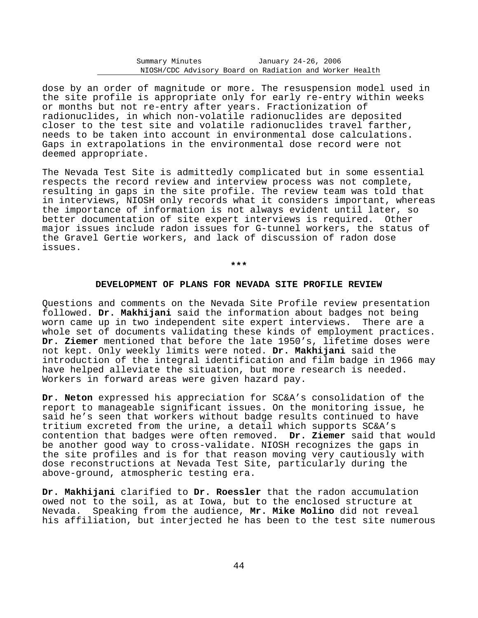dose by an order of magnitude or more. The resuspension model used in the site profile is appropriate only for early re-entry within weeks or months but not re-entry after years. Fractionization of radionuclides, in which non-volatile radionuclides are deposited closer to the test site and volatile radionuclides travel farther, needs to be taken into account in environmental dose calculations. Gaps in extrapolations in the environmental dose record were not deemed appropriate.

The Nevada Test Site is admittedly complicated but in some essential respects the record review and interview process was not complete, resulting in gaps in the site profile. The review team was told that in interviews, NIOSH only records what it considers important, whereas the importance of information is not always evident until later, so better documentation of site expert interviews is required. Other major issues include radon issues for G-tunnel workers, the status of the Gravel Gertie workers, and lack of discussion of radon dose issues.

**\*\*\*** 

#### **DEVELOPMENT OF PLANS FOR NEVADA SITE PROFILE REVIEW**

Questions and comments on the Nevada Site Profile review presentation followed. **Dr. Makhijani** said the information about badges not being worn came up in two independent site expert interviews. There are a whole set of documents validating these kinds of employment practices. **Dr. Ziemer** mentioned that before the late 1950's, lifetime doses were not kept. Only weekly limits were noted. **Dr. Makhijani** said the introduction of the integral identification and film badge in 1966 may have helped alleviate the situation, but more research is needed. Workers in forward areas were given hazard pay.

**Dr. Neton** expressed his appreciation for SC&A's consolidation of the report to manageable significant issues. On the monitoring issue, he said he's seen that workers without badge results continued to have tritium excreted from the urine, a detail which supports SC&A's contention that badges were often removed. **Dr. Ziemer** said that would be another good way to cross-validate. NIOSH recognizes the gaps in the site profiles and is for that reason moving very cautiously with dose reconstructions at Nevada Test Site, particularly during the above-ground, atmospheric testing era.

**Dr. Makhijani** clarified to **Dr. Roessler** that the radon accumulation owed not to the soil, as at Iowa, but to the enclosed structure at Nevada. Speaking from the audience, **Mr. Mike Molino** did not reveal his affiliation, but interjected he has been to the test site numerous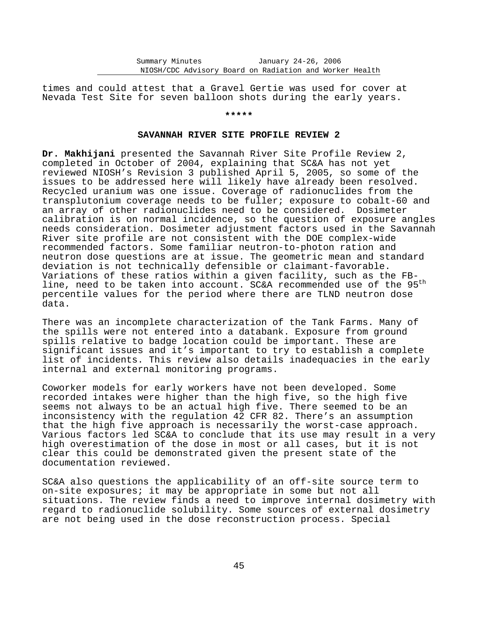times and could attest that a Gravel Gertie was used for cover at Nevada Test Site for seven balloon shots during the early years.

## **\*\*\*\*\***

## **SAVANNAH RIVER SITE PROFILE REVIEW 2**

**Dr. Makhijani** presented the Savannah River Site Profile Review 2, completed in October of 2004, explaining that SC&A has not yet reviewed NIOSH's Revision 3 published April 5, 2005, so some of the issues to be addressed here will likely have already been resolved. Recycled uranium was one issue. Coverage of radionuclides from the transplutonium coverage needs to be fuller; exposure to cobalt-60 and an array of other radionuclides need to be considered. Dosimeter calibration is on normal incidence, so the question of exposure angles needs consideration. Dosimeter adjustment factors used in the Savannah River site profile are not consistent with the DOE complex-wide recommended factors. Some familiar neutron-to-photon ration and neutron dose questions are at issue. The geometric mean and standard deviation is not technically defensible or claimant-favorable. Variations of these ratios within a given facility, such as the FBline, need to be taken into account. SC&A recommended use of the 95<sup>th</sup> percentile values for the period where there are TLND neutron dose data.

There was an incomplete characterization of the Tank Farms. Many of the spills were not entered into a databank. Exposure from ground spills relative to badge location could be important. These are significant issues and it's important to try to establish a complete list of incidents. This review also details inadequacies in the early internal and external monitoring programs.

Coworker models for early workers have not been developed. Some recorded intakes were higher than the high five, so the high five seems not always to be an actual high five. There seemed to be an inconsistency with the regulation 42 CFR 82. There's an assumption that the high five approach is necessarily the worst-case approach. Various factors led SC&A to conclude that its use may result in a very high overestimation of the dose in most or all cases, but it is not clear this could be demonstrated given the present state of the documentation reviewed.

SC&A also questions the applicability of an off-site source term to on-site exposures; it may be appropriate in some but not all situations. The review finds a need to improve internal dosimetry with regard to radionuclide solubility. Some sources of external dosimetry are not being used in the dose reconstruction process. Special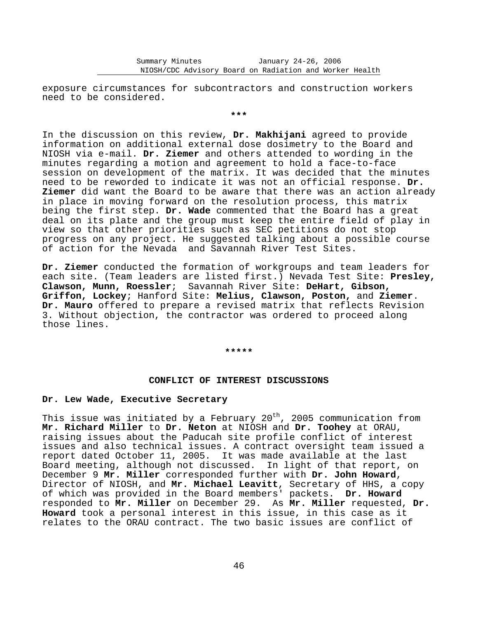exposure circumstances for subcontractors and construction workers need to be considered.

**\*\*\*** 

In the discussion on this review, **Dr. Makhijani** agreed to provide information on additional external dose dosimetry to the Board and NIOSH via e-mail. **Dr. Ziemer** and others attended to wording in the minutes regarding a motion and agreement to hold a face-to-face session on development of the matrix. It was decided that the minutes need to be reworded to indicate it was not an official response. **Dr. Ziemer** did want the Board to be aware that there was an action already in place in moving forward on the resolution process, this matrix being the first step. **Dr. Wade** commented that the Board has a great deal on its plate and the group must keep the entire field of play in view so that other priorities such as SEC petitions do not stop progress on any project. He suggested talking about a possible course of action for the Nevada and Savannah River Test Sites.

**Dr. Ziemer** conducted the formation of workgroups and team leaders for each site. (Team leaders are listed first.) Nevada Test Site: **Presley, Clawson, Munn, Roessler**; Savannah River Site: **DeHart, Gibson, Griffon, Lockey**; Hanford Site: **Melius, Clawson, Poston,** and **Ziemer**. **Dr. Mauro** offered to prepare a revised matrix that reflects Revision 3. Without objection, the contractor was ordered to proceed along those lines.

**\*\*\*\*\*** 

#### **CONFLICT OF INTEREST DISCUSSIONS**

# **Dr. Lew Wade, Executive Secretary**

This issue was initiated by a February 20<sup>th</sup>, 2005 communication from **Mr. Richard Miller** to **Dr. Neton** at NIOSH and **Dr. Toohey** at ORAU, raising issues about the Paducah site profile conflict of interest issues and also technical issues. A contract oversight team issued a report dated October 11, 2005. It was made available at the last Board meeting, although not discussed. In light of that report, on December 9 **Mr. Miller** corresponded further with **Dr. John Howard**, Director of NIOSH, and **Mr. Michael Leavitt**, Secretary of HHS, a copy of which was provided in the Board members' packets. **Dr. Howard** responded to **Mr. Miller** on December 29. As **Mr. Miller** requested, **Dr. Howard** took a personal interest in this issue, in this case as it relates to the ORAU contract. The two basic issues are conflict of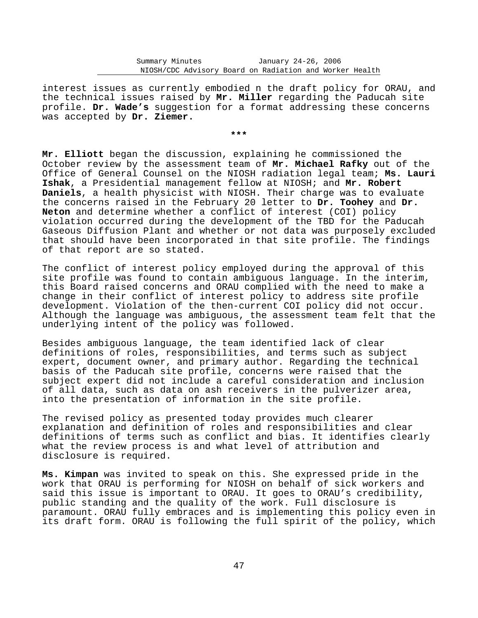interest issues as currently embodied n the draft policy for ORAU, and the technical issues raised by **Mr. Miller** regarding the Paducah site profile. **Dr. Wade's** suggestion for a format addressing these concerns was accepted by **Dr. Ziemer.** 

**\*\*\*** 

**Mr. Elliott** began the discussion, explaining he commissioned the October review by the assessment team of **Mr. Michael Rafky** out of the Office of General Counsel on the NIOSH radiation legal team; **Ms. Lauri Ishak**, a Presidential management fellow at NIOSH; and **Mr. Robert Daniels**, a health physicist with NIOSH. Their charge was to evaluate the concerns raised in the February 20 letter to **Dr. Toohey** and **Dr. Neton** and determine whether a conflict of interest (COI) policy violation occurred during the development of the TBD for the Paducah Gaseous Diffusion Plant and whether or not data was purposely excluded that should have been incorporated in that site profile. The findings of that report are so stated.

The conflict of interest policy employed during the approval of this site profile was found to contain ambiguous language. In the interim, this Board raised concerns and ORAU complied with the need to make a change in their conflict of interest policy to address site profile development. Violation of the then-current COI policy did not occur. Although the language was ambiguous, the assessment team felt that the underlying intent of the policy was followed.

Besides ambiguous language, the team identified lack of clear definitions of roles, responsibilities, and terms such as subject expert, document owner, and primary author. Regarding the technical basis of the Paducah site profile, concerns were raised that the subject expert did not include a careful consideration and inclusion of all data, such as data on ash receivers in the pulverizer area, into the presentation of information in the site profile.

The revised policy as presented today provides much clearer explanation and definition of roles and responsibilities and clear definitions of terms such as conflict and bias. It identifies clearly what the review process is and what level of attribution and disclosure is required.

**Ms. Kimpan** was invited to speak on this. She expressed pride in the work that ORAU is performing for NIOSH on behalf of sick workers and said this issue is important to ORAU. It goes to ORAU's credibility, public standing and the quality of the work. Full disclosure is paramount. ORAU fully embraces and is implementing this policy even in its draft form. ORAU is following the full spirit of the policy, which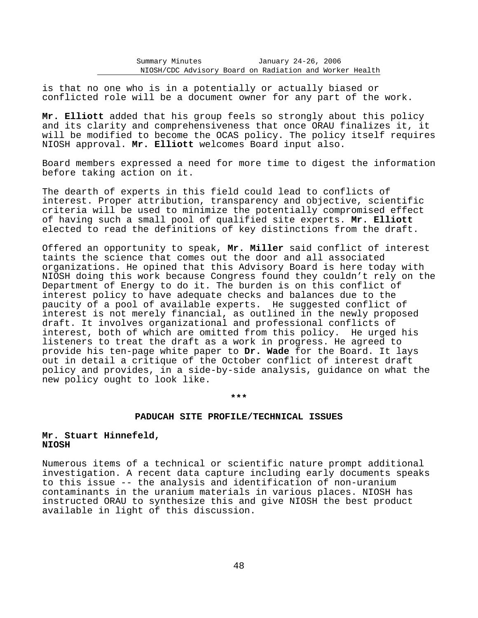is that no one who is in a potentially or actually biased or conflicted role will be a document owner for any part of the work.

**Mr. Elliott** added that his group feels so strongly about this policy and its clarity and comprehensiveness that once ORAU finalizes it, it will be modified to become the OCAS policy. The policy itself requires NIOSH approval. **Mr. Elliott** welcomes Board input also.

Board members expressed a need for more time to digest the information before taking action on it.

The dearth of experts in this field could lead to conflicts of interest. Proper attribution, transparency and objective, scientific criteria will be used to minimize the potentially compromised effect of having such a small pool of qualified site experts. **Mr. Elliott** elected to read the definitions of key distinctions from the draft.

Offered an opportunity to speak, **Mr. Miller** said conflict of interest taints the science that comes out the door and all associated organizations. He opined that this Advisory Board is here today with NIOSH doing this work because Congress found they couldn't rely on the Department of Energy to do it. The burden is on this conflict of interest policy to have adequate checks and balances due to the paucity of a pool of available experts. He suggested conflict of interest is not merely financial, as outlined in the newly proposed draft. It involves organizational and professional conflicts of interest, both of which are omitted from this policy. He urged his listeners to treat the draft as a work in progress. He agreed to provide his ten-page white paper to **Dr. Wade** for the Board. It lays out in detail a critique of the October conflict of interest draft policy and provides, in a side-by-side analysis, guidance on what the new policy ought to look like.

**\*\*\*** 

#### **PADUCAH SITE PROFILE/TECHNICAL ISSUES**

# **Mr. Stuart Hinnefeld, NIOSH**

Numerous items of a technical or scientific nature prompt additional investigation. A recent data capture including early documents speaks to this issue -- the analysis and identification of non-uranium contaminants in the uranium materials in various places. NIOSH has instructed ORAU to synthesize this and give NIOSH the best product available in light of this discussion.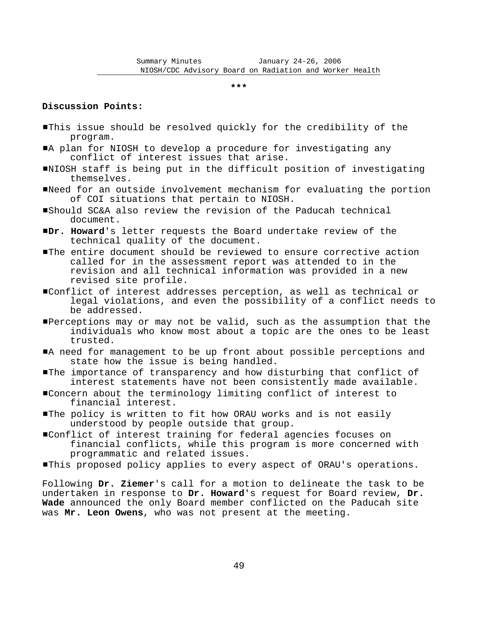**\*\*\*** 

## **Discussion Points:**

- #This issue should be resolved quickly for the credibility of the program.
- A plan for NIOSH to develop a procedure for investigating any conflict of interest issues that arise.
- #NIOSH staff is being put in the difficult position of investigating themselves.
- #Need for an outside involvement mechanism for evaluating the portion of COI situations that pertain to NIOSH.
- #Should SC&A also review the revision of the Paducah technical document.
- #**Dr. Howard**'s letter requests the Board undertake review of the technical quality of the document.
- #The entire document should be reviewed to ensure corrective action called for in the assessment report was attended to in the revision and all technical information was provided in a new revised site profile.
- #Conflict of interest addresses perception, as well as technical or legal violations, and even the possibility of a conflict needs to be addressed.
- Perceptions may or may not be valid, such as the assumption that the individuals who know most about a topic are the ones to be least trusted.
- A need for management to be up front about possible perceptions and state how the issue is being handled.
- **The importance of transparency and how disturbing that conflict of** interest statements have not been consistently made available.
- #Concern about the terminology limiting conflict of interest to financial interest.
- The policy is written to fit how ORAU works and is not easily understood by people outside that group.
- #Conflict of interest training for federal agencies focuses on financial conflicts, while this program is more concerned with programmatic and related issues.
- $\blacksquare$ This proposed policy applies to every aspect of ORAU's operations.

Following **Dr. Ziemer**'s call for a motion to delineate the task to be undertaken in response to **Dr. Howard**'s request for Board review, **Dr. Wade** announced the only Board member conflicted on the Paducah site was **Mr. Leon Owens**, who was not present at the meeting.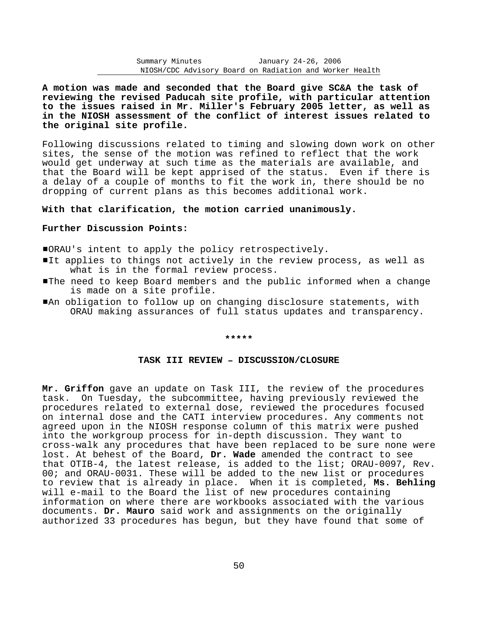**A motion was made and seconded that the Board give SC&A the task of reviewing the revised Paducah site profile, with particular attention to the issues raised in Mr. Miller's February 2005 letter, as well as in the NIOSH assessment of the conflict of interest issues related to the original site profile.** 

Following discussions related to timing and slowing down work on other sites, the sense of the motion was refined to reflect that the work would get underway at such time as the materials are available, and that the Board will be kept apprised of the status. Even if there is a delay of a couple of months to fit the work in, there should be no dropping of current plans as this becomes additional work.

## **With that clarification, the motion carried unanimously.**

## **Further Discussion Points:**

#ORAU's intent to apply the policy retrospectively.

- It applies to things not actively in the review process, as well as what is in the formal review process.
- #The need to keep Board members and the public informed when a change is made on a site profile.
- #An obligation to follow up on changing disclosure statements, with ORAU making assurances of full status updates and transparency.

#### **\*\*\*\*\***

## **TASK III REVIEW** B **DISCUSSION/CLOSURE**

**Mr. Griffon** gave an update on Task III, the review of the procedures task. On Tuesday, the subcommittee, having previously reviewed the procedures related to external dose, reviewed the procedures focused on internal dose and the CATI interview procedures. Any comments not agreed upon in the NIOSH response column of this matrix were pushed into the workgroup process for in-depth discussion. They want to cross-walk any procedures that have been replaced to be sure none were lost. At behest of the Board, **Dr. Wade** amended the contract to see that OTIB-4, the latest release, is added to the list; ORAU-0097, Rev. 00; and ORAU-0031. These will be added to the new list or procedures to review that is already in place. When it is completed, **Ms. Behling** will e-mail to the Board the list of new procedures containing information on where there are workbooks associated with the various documents. **Dr. Mauro** said work and assignments on the originally authorized 33 procedures has begun, but they have found that some of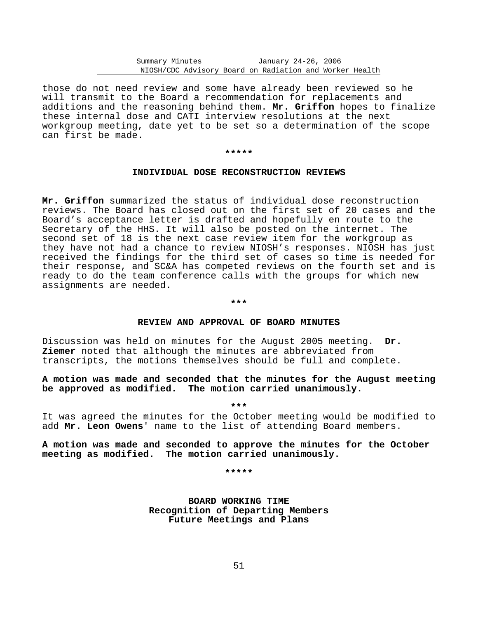those do not need review and some have already been reviewed so he will transmit to the Board a recommendation for replacements and additions and the reasoning behind them. **Mr. Griffon** hopes to finalize these internal dose and CATI interview resolutions at the next workgroup meeting, date yet to be set so a determination of the scope can first be made.

#### **\*\*\*\*\***

## **INDIVIDUAL DOSE RECONSTRUCTION REVIEWS**

**Mr. Griffon** summarized the status of individual dose reconstruction reviews. The Board has closed out on the first set of 20 cases and the Board's acceptance letter is drafted and hopefully en route to the Secretary of the HHS. It will also be posted on the internet. The second set of 18 is the next case review item for the workgroup as they have not had a chance to review NIOSH's responses. NIOSH has just received the findings for the third set of cases so time is needed for their response, and SC&A has competed reviews on the fourth set and is ready to do the team conference calls with the groups for which new assignments are needed.

#### **\*\*\***

## **REVIEW AND APPROVAL OF BOARD MINUTES**

Discussion was held on minutes for the August 2005 meeting. **Dr. Ziemer** noted that although the minutes are abbreviated from transcripts, the motions themselves should be full and complete.

# **A motion was made and seconded that the minutes for the August meeting be approved as modified. The motion carried unanimously.**

**\*\*\*** 

It was agreed the minutes for the October meeting would be modified to add **Mr. Leon Owens**' name to the list of attending Board members.

**A motion was made and seconded to approve the minutes for the October meeting as modified. The motion carried unanimously.** 

#### **\*\*\*\*\***

**BOARD WORKING TIME Recognition of Departing Members Future Meetings and Plans**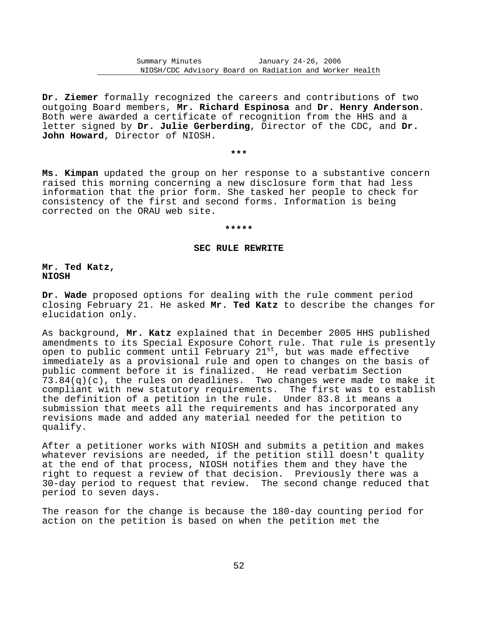**Dr. Ziemer** formally recognized the careers and contributions of two outgoing Board members, **Mr. Richard Espinosa** and **Dr. Henry Anderson**. Both were awarded a certificate of recognition from the HHS and a letter signed by **Dr. Julie Gerberding**, Director of the CDC, and **Dr. John Howard**, Director of NIOSH.

# **\*\*\***

**Ms. Kimpan** updated the group on her response to a substantive concern raised this morning concerning a new disclosure form that had less information that the prior form. She tasked her people to check for consistency of the first and second forms. Information is being corrected on the ORAU web site.

#### **\*\*\*\*\***

## **SEC RULE REWRITE**

**Mr. Ted Katz, NIOSH** 

**Dr. Wade** proposed options for dealing with the rule comment period closing February 21. He asked **Mr. Ted Katz** to describe the changes for elucidation only.

As background, **Mr. Katz** explained that in December 2005 HHS published amendments to its Special Exposure Cohort rule. That rule is presently open to public comment until February 21st, but was made effective immediately as a provisional rule and open to changes on the basis of public comment before it is finalized. He read verbatim Section  $73.84(q)(c)$ , the rules on deadlines. Two changes were made to make it compliant with new statutory requirements. The first was to establish the definition of a petition in the rule. Under 83.8 it means a submission that meets all the requirements and has incorporated any revisions made and added any material needed for the petition to qualify.

After a petitioner works with NIOSH and submits a petition and makes whatever revisions are needed, if the petition still doesn't quality at the end of that process, NIOSH notifies them and they have the right to request a review of that decision. Previously there was a 30-day period to request that review. The second change reduced that period to seven days.

The reason for the change is because the 180-day counting period for action on the petition is based on when the petition met the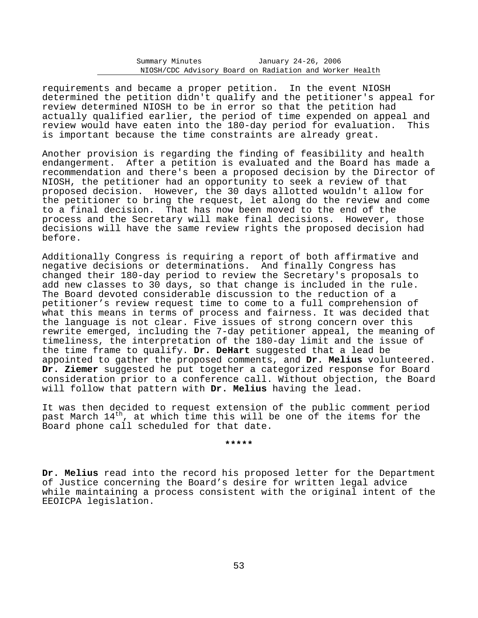requirements and became a proper petition. In the event NIOSH determined the petition didn't qualify and the petitioner's appeal for review determined NIOSH to be in error so that the petition had actually qualified earlier, the period of time expended on appeal and review would have eaten into the 180-day period for evaluation. This is important because the time constraints are already great.

Another provision is regarding the finding of feasibility and health endangerment. After a petition is evaluated and the Board has made a recommendation and there's been a proposed decision by the Director of NIOSH, the petitioner had an opportunity to seek a review of that proposed decision. However, the 30 days allotted wouldn't allow for the petitioner to bring the request, let along do the review and come to a final decision. That has now been moved to the end of the process and the Secretary will make final decisions. However, those decisions will have the same review rights the proposed decision had before.

Additionally Congress is requiring a report of both affirmative and negative decisions or determinations. And finally Congress has changed their 180-day period to review the Secretary's proposals to add new classes to 30 days, so that change is included in the rule. The Board devoted considerable discussion to the reduction of a petitioner's review request time to come to a full comprehension of what this means in terms of process and fairness. It was decided that the language is not clear. Five issues of strong concern over this rewrite emerged, including the 7-day petitioner appeal, the meaning of timeliness, the interpretation of the 180-day limit and the issue of the time frame to qualify. **Dr. DeHart** suggested that a lead be appointed to gather the proposed comments, and **Dr. Melius** volunteered. **Dr. Ziemer** suggested he put together a categorized response for Board consideration prior to a conference call. Without objection, the Board will follow that pattern with **Dr. Melius** having the lead.

It was then decided to request extension of the public comment period past March  $14<sup>th</sup>$ , at which time this will be one of the items for the Board phone call scheduled for that date.

## **\*\*\*\*\***

**Dr. Melius** read into the record his proposed letter for the Department of Justice concerning the Board's desire for written legal advice while maintaining a process consistent with the original intent of the EEOICPA legislation.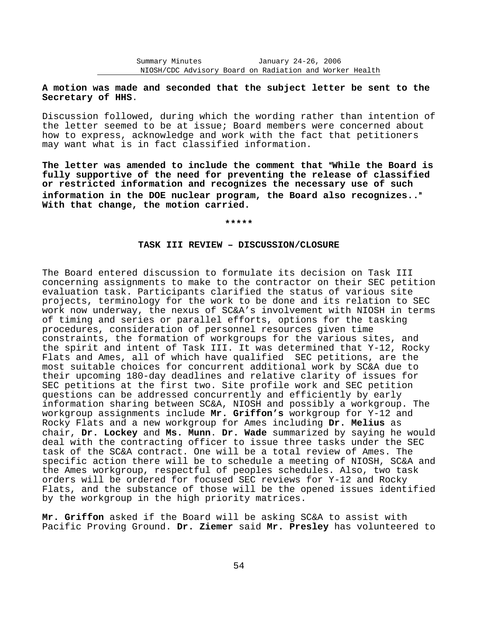# **A motion was made and seconded that the subject letter be sent to the Secretary of HHS**.

Discussion followed, during which the wording rather than intention of the letter seemed to be at issue; Board members were concerned about how to express, acknowledge and work with the fact that petitioners may want what is in fact classified information.

The letter was amended to include the comment that "While the Board is **fully supportive of the need for preventing the release of classified or restricted information and recognizes the necessary use of such information in the DOE nuclear program, the Board also recognizes..**@ **With that change, the motion carried.** 

#### **\*\*\*\*\***

### **TASK III REVIEW** B **DISCUSSION/CLOSURE**

The Board entered discussion to formulate its decision on Task III concerning assignments to make to the contractor on their SEC petition evaluation task. Participants clarified the status of various site projects, terminology for the work to be done and its relation to SEC work now underway, the nexus of SC&A's involvement with NIOSH in terms of timing and series or parallel efforts, options for the tasking procedures, consideration of personnel resources given time constraints, the formation of workgroups for the various sites, and the spirit and intent of Task III. It was determined that Y-12, Rocky Flats and Ames, all of which have qualified SEC petitions, are the most suitable choices for concurrent additional work by SC&A due to their upcoming 180-day deadlines and relative clarity of issues for SEC petitions at the first two. Site profile work and SEC petition questions can be addressed concurrently and efficiently by early information sharing between SC&A, NIOSH and possibly a workgroup. The workgroup assignments include **Mr. Griffon's** workgroup for Y-12 and Rocky Flats and a new workgroup for Ames including **Dr. Melius** as chair, **Dr. Lockey** and **Ms. Munn**. **Dr. Wade** summarized by saying he would deal with the contracting officer to issue three tasks under the SEC task of the SC&A contract. One will be a total review of Ames. The specific action there will be to schedule a meeting of NIOSH, SC&A and the Ames workgroup, respectful of peoples schedules. Also, two task orders will be ordered for focused SEC reviews for Y-12 and Rocky Flats, and the substance of those will be the opened issues identified by the workgroup in the high priority matrices.

**Mr. Griffon** asked if the Board will be asking SC&A to assist with Pacific Proving Ground. **Dr. Ziemer** said **Mr. Presley** has volunteered to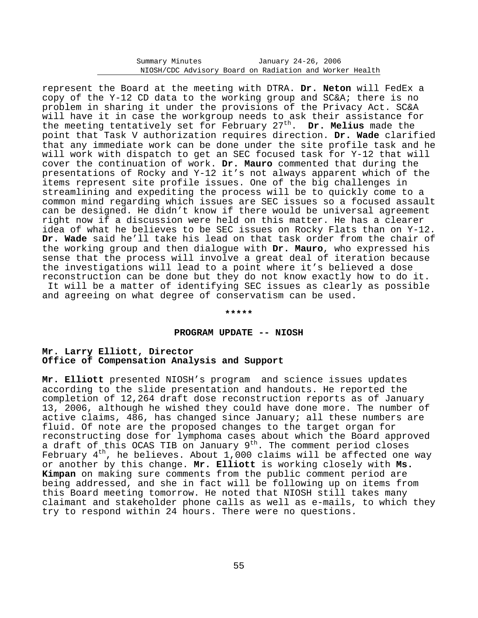represent the Board at the meeting with DTRA. **Dr. Neton** will FedEx a copy of the Y-12 CD data to the working group and SC&A; there is no problem in sharing it under the provisions of the Privacy Act. SC&A will have it in case the workgroup needs to ask their assistance for the meeting tentatively set for February 27th . **Dr. Melius** made the point that Task V authorization requires direction. **Dr. Wade** clarified that any immediate work can be done under the site profile task and he will work with dispatch to get an SEC focused task for Y-12 that will cover the continuation of work. **Dr. Mauro** commented that during the presentations of Rocky and Y-12 it's not always apparent which of the items represent site profile issues. One of the big challenges in streamlining and expediting the process will be to quickly come to a common mind regarding which issues are SEC issues so a focused assault can be designed. He didn't know if there would be universal agreement right now if a discussion were held on this matter. He has a clearer idea of what he believes to be SEC issues on Rocky Flats than on Y-12. **Dr. Wade** said he'll take his lead on that task order from the chair of the working group and then dialogue with **Dr. Mauro**, who expressed his sense that the process will involve a great deal of iteration because the investigations will lead to a point where it's believed a dose reconstruction can be done but they do not know exactly how to do it. It will be a matter of identifying SEC issues as clearly as possible and agreeing on what degree of conservatism can be used.

**\*\*\*\*\*** 

#### **PROGRAM UPDATE -- NIOSH**

# **Mr. Larry Elliott, Director Office of Compensation Analysis and Support**

**Mr. Elliott** presented NIOSH's program and science issues updates according to the slide presentation and handouts. He reported the completion of 12,264 draft dose reconstruction reports as of January 13, 2006, although he wished they could have done more. The number of active claims, 486, has changed since January; all these numbers are fluid. Of note are the proposed changes to the target organ for reconstructing dose for lymphoma cases about which the Board approved a draft of this OCAS TIB on January 9<sup>th</sup>. The comment period closes February  $4<sup>th</sup>$ , he believes. About 1,000 claims will be affected one way or another by this change. **Mr. Elliott** is working closely with **Ms. Kimpan** on making sure comments from the public comment period are being addressed, and she in fact will be following up on items from this Board meeting tomorrow. He noted that NIOSH still takes many claimant and stakeholder phone calls as well as e-mails, to which they try to respond within 24 hours. There were no questions.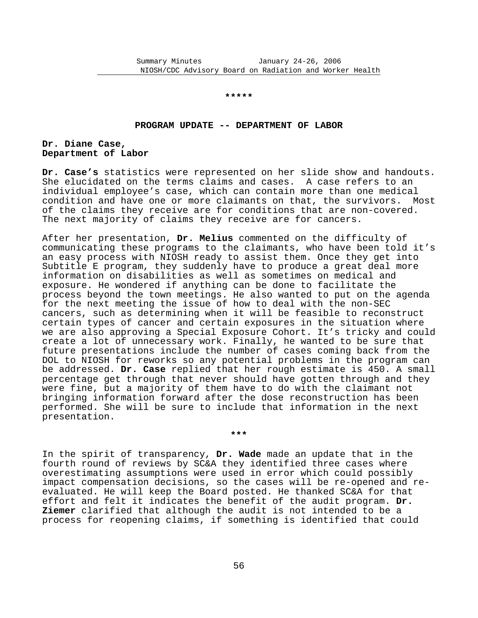#### **\*\*\*\*\***

#### **PROGRAM UPDATE -- DEPARTMENT OF LABOR**

## **Dr. Diane Case, Department of Labor**

**Dr. Case's** statistics were represented on her slide show and handouts. She elucidated on the terms claims and cases. A case refers to an individual employee's case, which can contain more than one medical condition and have one or more claimants on that, the survivors. Most of the claims they receive are for conditions that are non-covered. The next majority of claims they receive are for cancers.

After her presentation, **Dr. Melius** commented on the difficulty of communicating these programs to the claimants, who have been told it's an easy process with NIOSH ready to assist them. Once they get into Subtitle E program, they suddenly have to produce a great deal more information on disabilities as well as sometimes on medical and exposure. He wondered if anything can be done to facilitate the process beyond the town meetings. He also wanted to put on the agenda for the next meeting the issue of how to deal with the non-SEC cancers, such as determining when it will be feasible to reconstruct certain types of cancer and certain exposures in the situation where we are also approving a Special Exposure Cohort. It's tricky and could create a lot of unnecessary work. Finally, he wanted to be sure that future presentations include the number of cases coming back from the DOL to NIOSH for reworks so any potential problems in the program can be addressed. **Dr. Case** replied that her rough estimate is 450. A small percentage get through that never should have gotten through and they were fine, but a majority of them have to do with the claimant not bringing information forward after the dose reconstruction has been performed. She will be sure to include that information in the next presentation.

In the spirit of transparency, **Dr. Wade** made an update that in the fourth round of reviews by SC&A they identified three cases where overestimating assumptions were used in error which could possibly impact compensation decisions, so the cases will be re-opened and reevaluated. He will keep the Board posted. He thanked SC&A for that effort and felt it indicates the benefit of the audit program. **Dr. Ziemer** clarified that although the audit is not intended to be a process for reopening claims, if something is identified that could

**\*\*\***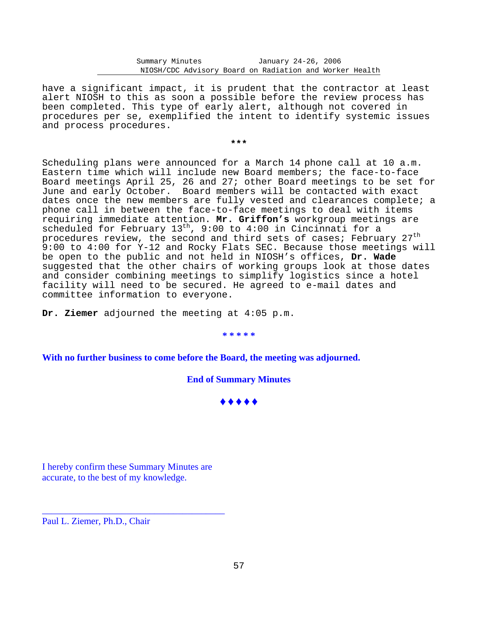have a significant impact, it is prudent that the contractor at least alert NIOSH to this as soon a possible before the review process has been completed. This type of early alert, although not covered in procedures per se, exemplified the intent to identify systemic issues and process procedures.

**\*\*\*** 

Scheduling plans were announced for a March 14 phone call at 10 a.m. Eastern time which will include new Board members; the face-to-face Board meetings April 25, 26 and 27; other Board meetings to be set for June and early October. Board members will be contacted with exact dates once the new members are fully vested and clearances complete; a phone call in between the face-to-face meetings to deal with items requiring immediate attention. **Mr. Griffon's** workgroup meetings are scheduled for February 13<sup>th</sup>, 9:00 to 4:00 in Cincinnati for a procedures review, the second and third sets of cases; February 27<sup>th</sup> 9:00 to 4:00 for Y-12 and Rocky Flats SEC. Because those meetings will be open to the public and not held in NIOSH's offices, **Dr. Wade** suggested that the other chairs of working groups look at those dates and consider combining meetings to simplify logistics since a hotel facility will need to be secured. He agreed to e-mail dates and committee information to everyone.

**Dr. Ziemer** adjourned the meeting at 4:05 p.m.

## **\* \* \* \* \***

**With no further business to come before the Board, the meeting was adjourned.** 

**End of Summary Minutes** 

**\*\*\*\*** 

I hereby confirm these Summary Minutes are accurate, to the best of my knowledge.

\_\_\_\_\_\_\_\_\_\_\_\_\_\_\_\_\_\_\_\_\_\_\_\_\_\_\_\_\_\_\_\_\_\_\_\_\_\_\_

Paul L. Ziemer, Ph.D., Chair